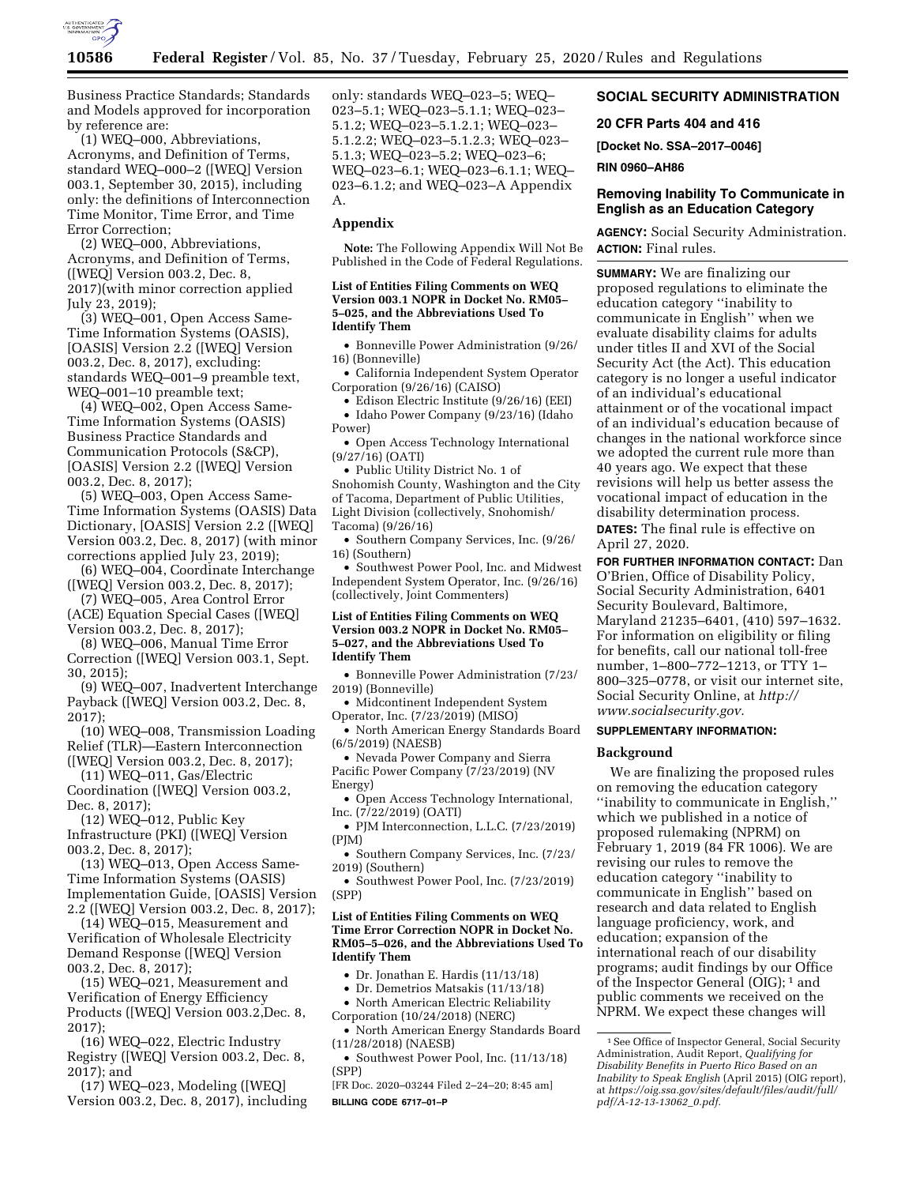

Business Practice Standards; Standards and Models approved for incorporation by reference are:

(1) WEQ–000, Abbreviations, Acronyms, and Definition of Terms, standard WEQ–000–2 ([WEQ] Version 003.1, September 30, 2015), including only: the definitions of Interconnection Time Monitor, Time Error, and Time Error Correction;

(2) WEQ–000, Abbreviations, Acronyms, and Definition of Terms, ([WEQ] Version 003.2, Dec. 8, 2017)(with minor correction applied July 23, 2019);

(3) WEQ–001, Open Access Same-Time Information Systems (OASIS), [OASIS] Version 2.2 ([WEQ] Version 003.2, Dec. 8, 2017), excluding: standards WEQ–001–9 preamble text, WEQ–001–10 preamble text;

(4) WEQ–002, Open Access Same-Time Information Systems (OASIS) Business Practice Standards and Communication Protocols (S&CP), [OASIS] Version 2.2 ([WEQ] Version 003.2, Dec. 8, 2017);

(5) WEQ–003, Open Access Same-Time Information Systems (OASIS) Data Dictionary, [OASIS] Version 2.2 ([WEQ] Version 003.2, Dec. 8, 2017) (with minor corrections applied July 23, 2019);

(6) WEQ–004, Coordinate Interchange ([WEQ] Version 003.2, Dec. 8, 2017);

(7) WEQ–005, Area Control Error (ACE) Equation Special Cases ([WEQ] Version 003.2, Dec. 8, 2017);

(8) WEQ–006, Manual Time Error Correction ([WEQ] Version 003.1, Sept. 30, 2015);

(9) WEQ–007, Inadvertent Interchange Payback ([WEQ] Version 003.2, Dec. 8, 2017);

(10) WEQ–008, Transmission Loading Relief (TLR)—Eastern Interconnection

([WEQ] Version 003.2, Dec. 8, 2017); (11) WEQ–011, Gas/Electric Coordination ([WEQ] Version 003.2,

Dec. 8, 2017); (12) WEQ–012, Public Key

Infrastructure (PKI) ([WEQ] Version 003.2, Dec. 8, 2017);

(13) WEQ–013, Open Access Same-Time Information Systems (OASIS) Implementation Guide, [OASIS] Version 2.2 ([WEQ] Version 003.2, Dec. 8, 2017);

(14) WEQ–015, Measurement and Verification of Wholesale Electricity Demand Response ([WEQ] Version 003.2, Dec. 8, 2017);

(15) WEQ–021, Measurement and Verification of Energy Efficiency Products ([WEQ] Version 003.2,Dec. 8, 2017);

(16) WEQ–022, Electric Industry Registry ([WEQ] Version 003.2, Dec. 8, 2017); and

(17) WEQ–023, Modeling ([WEQ] Version 003.2, Dec. 8, 2017), including only: standards WEQ–023–5; WEQ– 023–5.1; WEQ–023–5.1.1; WEQ–023– 5.1.2; WEQ–023–5.1.2.1; WEQ–023– 5.1.2.2; WEQ–023–5.1.2.3; WEQ–023– 5.1.3; WEQ–023–5.2; WEQ–023–6; WEQ–023–6.1; WEQ–023–6.1.1; WEQ– 023–6.1.2; and WEQ–023–A Appendix A.

#### **Appendix**

**Note:** The Following Appendix Will Not Be Published in the Code of Federal Regulations.

#### **List of Entities Filing Comments on WEQ Version 003.1 NOPR in Docket No. RM05– 5–025, and the Abbreviations Used To Identify Them**

• Bonneville Power Administration (9/26/ 16) (Bonneville)

• California Independent System Operator Corporation (9/26/16) (CAISO)

• Edison Electric Institute (9/26/16) (EEI)

• Idaho Power Company (9/23/16) (Idaho Power)

• Open Access Technology International (9/27/16) (OATI)

• Public Utility District No. 1 of Snohomish County, Washington and the City of Tacoma, Department of Public Utilities, Light Division (collectively, Snohomish/ Tacoma) (9/26/16)

• Southern Company Services, Inc. (9/26/ 16) (Southern)

• Southwest Power Pool, Inc. and Midwest Independent System Operator, Inc. (9/26/16) (collectively, Joint Commenters)

#### **List of Entities Filing Comments on WEQ Version 003.2 NOPR in Docket No. RM05– 5–027, and the Abbreviations Used To Identify Them**

• Bonneville Power Administration (7/23/ 2019) (Bonneville)

• Midcontinent Independent System Operator, Inc. (7/23/2019) (MISO)

• North American Energy Standards Board (6/5/2019) (NAESB)

• Nevada Power Company and Sierra Pacific Power Company (7/23/2019) (NV Energy)

• Open Access Technology International, Inc. (7/22/2019) (OATI)

• PJM Interconnection, L.L.C. (7/23/2019) (PJM)

• Southern Company Services, Inc. (7/23/ 2019) (Southern)

• Southwest Power Pool, Inc. (7/23/2019) (SPP)

#### **List of Entities Filing Comments on WEQ Time Error Correction NOPR in Docket No. RM05–5–026, and the Abbreviations Used To Identify Them**

• Dr. Jonathan E. Hardis (11/13/18)

• Dr. Demetrios Matsakis (11/13/18)

• North American Electric Reliability

Corporation (10/24/2018) (NERC) • North American Energy Standards Board (11/28/2018) (NAESB)

• Southwest Power Pool, Inc. (11/13/18) (SPP)

[FR Doc. 2020–03244 Filed 2–24–20; 8:45 am] **BILLING CODE 6717–01–P** 

# **SOCIAL SECURITY ADMINISTRATION**

**20 CFR Parts 404 and 416** 

**[Docket No. SSA–2017–0046]** 

**RIN 0960–AH86** 

### **Removing Inability To Communicate in English as an Education Category**

**AGENCY:** Social Security Administration. **ACTION:** Final rules.

**SUMMARY:** We are finalizing our proposed regulations to eliminate the education category ''inability to communicate in English'' when we evaluate disability claims for adults under titles II and XVI of the Social Security Act (the Act). This education category is no longer a useful indicator of an individual's educational attainment or of the vocational impact of an individual's education because of changes in the national workforce since we adopted the current rule more than 40 years ago. We expect that these revisions will help us better assess the vocational impact of education in the disability determination process. **DATES:** The final rule is effective on

April 27, 2020.

**FOR FURTHER INFORMATION CONTACT:** Dan O'Brien, Office of Disability Policy, Social Security Administration, 6401 Security Boulevard, Baltimore, Maryland 21235–6401, (410) 597–1632. For information on eligibility or filing for benefits, call our national toll-free number, 1–800–772–1213, or TTY 1– 800–325–0778, or visit our internet site, Social Security Online, at *[http://](http://www.socialsecurity.gov) [www.socialsecurity.gov.](http://www.socialsecurity.gov)* 

## **SUPPLEMENTARY INFORMATION:**

#### **Background**

We are finalizing the proposed rules on removing the education category ''inability to communicate in English,'' which we published in a notice of proposed rulemaking (NPRM) on February 1, 2019 (84 FR 1006). We are revising our rules to remove the education category ''inability to communicate in English'' based on research and data related to English language proficiency, work, and education; expansion of the international reach of our disability programs; audit findings by our Office of the Inspector General (OIG); 1 and public comments we received on the NPRM. We expect these changes will

<sup>&</sup>lt;sup>1</sup> See Office of Inspector General, Social Security Administration, Audit Report, *Qualifying for Disability Benefits in Puerto Rico Based on an Inability to Speak English* (April 2015) (OIG report), at *[https://oig.ssa.gov/sites/default/files/audit/full/](https://oig.ssa.gov/sites/default/files/audit/full/pdf/A-12-13-13062_0.pdf)  [pdf/A-12-13-13062](https://oig.ssa.gov/sites/default/files/audit/full/pdf/A-12-13-13062_0.pdf)*\_*0.pdf.*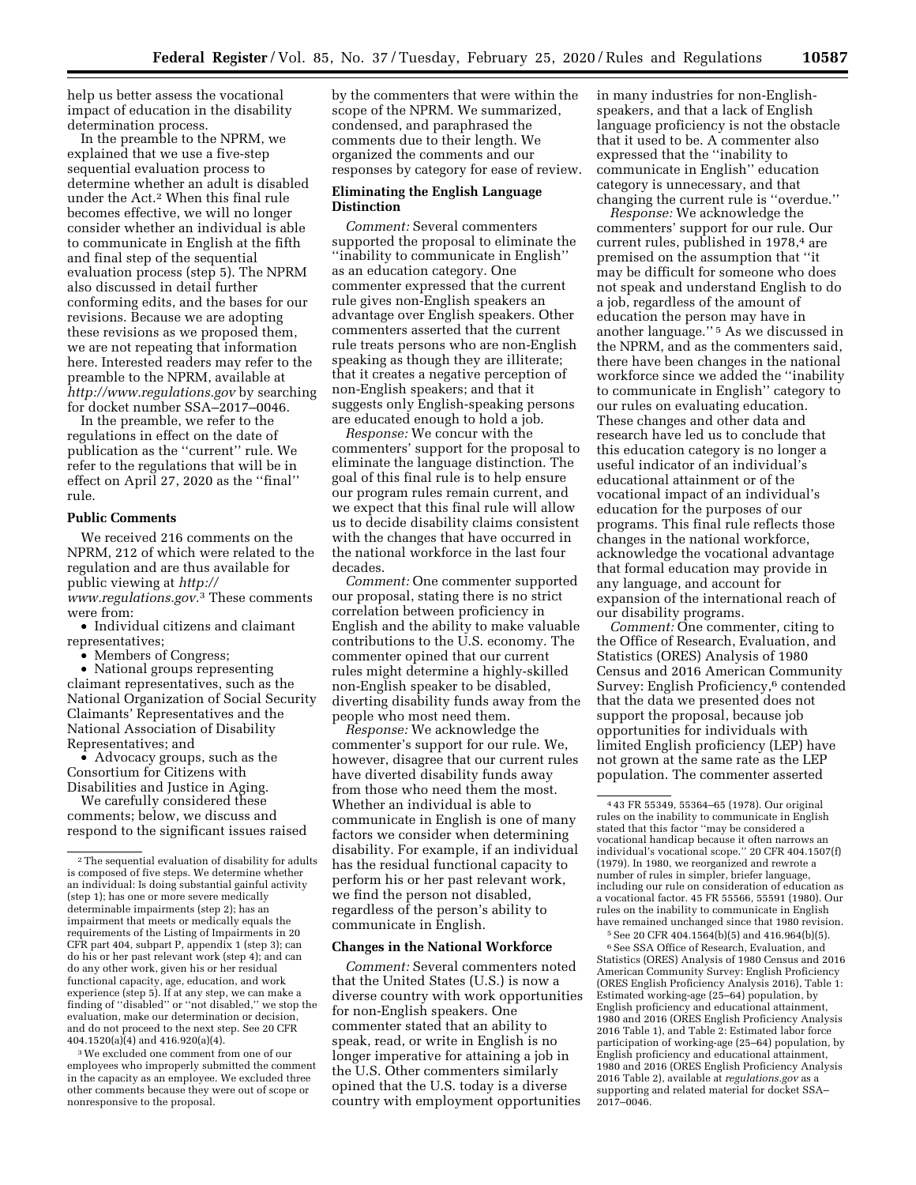help us better assess the vocational impact of education in the disability determination process.

In the preamble to the NPRM, we explained that we use a five-step sequential evaluation process to determine whether an adult is disabled under the Act.2 When this final rule becomes effective, we will no longer consider whether an individual is able to communicate in English at the fifth and final step of the sequential evaluation process (step 5). The NPRM also discussed in detail further conforming edits, and the bases for our revisions. Because we are adopting these revisions as we proposed them, we are not repeating that information here. Interested readers may refer to the preamble to the NPRM, available at *<http://www.regulations.gov>* by searching for docket number SSA–2017–0046.

In the preamble, we refer to the regulations in effect on the date of publication as the ''current'' rule. We refer to the regulations that will be in effect on April 27, 2020 as the ''final'' rule.

## **Public Comments**

We received 216 comments on the NPRM, 212 of which were related to the regulation and are thus available for public viewing at *[http://](http://www.regulations.gov) [www.regulations.gov.](http://www.regulations.gov)*3 These comments were from:

• Individual citizens and claimant representatives;

• Members of Congress;

• National groups representing claimant representatives, such as the National Organization of Social Security Claimants' Representatives and the National Association of Disability Representatives; and

• Advocacy groups, such as the Consortium for Citizens with Disabilities and Justice in Aging.

We carefully considered these comments; below, we discuss and respond to the significant issues raised

3We excluded one comment from one of our employees who improperly submitted the comment in the capacity as an employee. We excluded three other comments because they were out of scope or nonresponsive to the proposal.

by the commenters that were within the scope of the NPRM. We summarized, condensed, and paraphrased the comments due to their length. We organized the comments and our responses by category for ease of review.

#### **Eliminating the English Language Distinction**

*Comment:* Several commenters supported the proposal to eliminate the ''inability to communicate in English'' as an education category. One commenter expressed that the current rule gives non-English speakers an advantage over English speakers. Other commenters asserted that the current rule treats persons who are non-English speaking as though they are illiterate; that it creates a negative perception of non-English speakers; and that it suggests only English-speaking persons are educated enough to hold a job.

*Response:* We concur with the commenters' support for the proposal to eliminate the language distinction. The goal of this final rule is to help ensure our program rules remain current, and we expect that this final rule will allow us to decide disability claims consistent with the changes that have occurred in the national workforce in the last four decades.

*Comment:* One commenter supported our proposal, stating there is no strict correlation between proficiency in English and the ability to make valuable contributions to the U.S. economy. The commenter opined that our current rules might determine a highly-skilled non-English speaker to be disabled, diverting disability funds away from the people who most need them.

*Response:* We acknowledge the commenter's support for our rule. We, however, disagree that our current rules have diverted disability funds away from those who need them the most. Whether an individual is able to communicate in English is one of many factors we consider when determining disability. For example, if an individual has the residual functional capacity to perform his or her past relevant work, we find the person not disabled, regardless of the person's ability to communicate in English.

#### **Changes in the National Workforce**

*Comment:* Several commenters noted that the United States (U.S.) is now a diverse country with work opportunities for non-English speakers. One commenter stated that an ability to speak, read, or write in English is no longer imperative for attaining a job in the U.S. Other commenters similarly opined that the U.S. today is a diverse country with employment opportunities

in many industries for non-Englishspeakers, and that a lack of English language proficiency is not the obstacle that it used to be. A commenter also expressed that the ''inability to communicate in English'' education category is unnecessary, and that changing the current rule is ''overdue.''

*Response:* We acknowledge the commenters' support for our rule. Our current rules, published in 1978,<sup>4</sup> are premised on the assumption that ''it may be difficult for someone who does not speak and understand English to do a job, regardless of the amount of education the person may have in another language.'' 5 As we discussed in the NPRM, and as the commenters said, there have been changes in the national workforce since we added the ''inability to communicate in English'' category to our rules on evaluating education. These changes and other data and research have led us to conclude that this education category is no longer a useful indicator of an individual's educational attainment or of the vocational impact of an individual's education for the purposes of our programs. This final rule reflects those changes in the national workforce, acknowledge the vocational advantage that formal education may provide in any language, and account for expansion of the international reach of our disability programs.

*Comment:* One commenter, citing to the Office of Research, Evaluation, and Statistics (ORES) Analysis of 1980 Census and 2016 American Community Survey: English Proficiency,<sup>6</sup> contended that the data we presented does not support the proposal, because job opportunities for individuals with limited English proficiency (LEP) have not grown at the same rate as the LEP population. The commenter asserted

5See 20 CFR 404.1564(b)(5) and 416.964(b)(5).

<sup>6</sup> See SSA Office of Research, Evaluation, and Statistics (ORES) Analysis of 1980 Census and 2016 American Community Survey: English Proficiency (ORES English Proficiency Analysis 2016), Table 1: Estimated working-age (25–64) population, by English proficiency and educational attainment, 1980 and 2016 (ORES English Proficiency Analysis 2016 Table 1), and Table 2: Estimated labor force participation of working-age (25–64) population, by English proficiency and educational attainment, 1980 and 2016 (ORES English Proficiency Analysis 2016 Table 2), available at *regulations.gov* as a supporting and related material for docket SSA–  $2017 - 0046$ .

<sup>2</sup>The sequential evaluation of disability for adults is composed of five steps. We determine whether an individual: Is doing substantial gainful activity (step 1); has one or more severe medically determinable impairments (step 2); has an impairment that meets or medically equals the requirements of the Listing of Impairments in 20 CFR part 404, subpart P, appendix 1 (step 3); can do his or her past relevant work (step 4); and can do any other work, given his or her residual functional capacity, age, education, and work experience (step 5). If at any step, we can make a finding of ''disabled'' or ''not disabled,'' we stop the evaluation, make our determination or decision, and do not proceed to the next step. See 20 CFR 404.1520(a)(4) and 416.920(a)(4).

<sup>4</sup> 43 FR 55349, 55364–65 (1978). Our original rules on the inability to communicate in English stated that this factor ''may be considered a vocational handicap because it often narrows an individual's vocational scope.'' 20 CFR 404.1507(f) (1979). In 1980, we reorganized and rewrote a number of rules in simpler, briefer language, including our rule on consideration of education as a vocational factor. 45 FR 55566, 55591 (1980). Our rules on the inability to communicate in English have remained unchanged since that 1980 revision.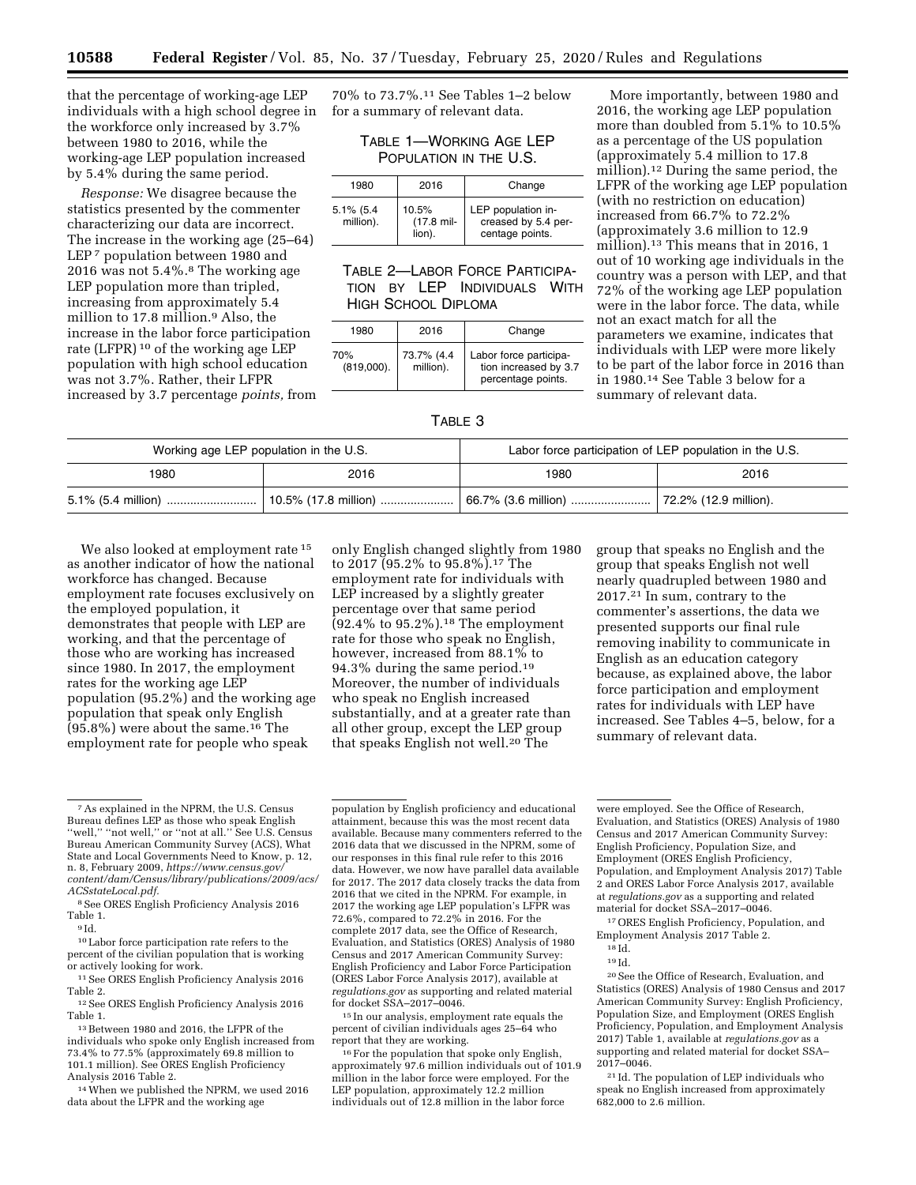that the percentage of working-age LEP individuals with a high school degree in the workforce only increased by 3.7% between 1980 to 2016, while the working-age LEP population increased by 5.4% during the same period.

*Response:* We disagree because the statistics presented by the commenter characterizing our data are incorrect. The increase in the working age (25–64) LEP<sup>7</sup> population between 1980 and 2016 was not 5.4%.8 The working age LEP population more than tripled, increasing from approximately 5.4 million to 17.8 million.9 Also, the increase in the labor force participation rate (LFPR) 10 of the working age LEP population with high school education was not 3.7%. Rather, their LFPR increased by 3.7 percentage *points,* from

70% to 73.7%.11 See Tables 1–2 below for a summary of relevant data.

> TABLE 1—WORKING AGE LEP POPULATION IN THE U.S.

| 1980                      | 2016                                     | Change                                                       |
|---------------------------|------------------------------------------|--------------------------------------------------------------|
| $5.1\%$ (5.4<br>million). | 10.5%<br>$(17.8 \text{ mil} -$<br>lion). | LEP population in-<br>creased by 5.4 per-<br>centage points. |

## TABLE 2—LABOR FORCE PARTICIPA-TION BY LEP INDIVIDUALS WITH HIGH SCHOOL DIPLOMA

| 1980                 | 2016                    | Change                                                                |  |  |
|----------------------|-------------------------|-----------------------------------------------------------------------|--|--|
| 70%<br>$(819,000)$ . | 73.7% (4.4<br>million). | Labor force participa-<br>tion increased by 3.7<br>percentage points. |  |  |

More importantly, between 1980 and 2016, the working age LEP population more than doubled from 5.1% to 10.5% as a percentage of the US population (approximately 5.4 million to 17.8 million).12 During the same period, the LFPR of the working age LEP population (with no restriction on education) increased from 66.7% to 72.2% (approximately 3.6 million to 12.9 million).<sup>13</sup> This means that in 2016, 1 out of 10 working age individuals in the country was a person with LEP, and that 72% of the working age LEP population were in the labor force. The data, while not an exact match for all the parameters we examine, indicates that individuals with LEP were more likely to be part of the labor force in 2016 than in 1980.14 See Table 3 below for a summary of relevant data.

#### TABLE 3

| Working age LEP population in the U.S. |      | Labor force participation of LEP population in the U.S. |                           |  |
|----------------------------------------|------|---------------------------------------------------------|---------------------------|--|
| 1980                                   | 2016 | 1980                                                    | 2016                      |  |
|                                        |      | $\vert$ 66.7% (3.6 million)                             | .   72.2% (12.9 million). |  |

We also looked at employment rate<sup>15</sup> as another indicator of how the national workforce has changed. Because employment rate focuses exclusively on the employed population, it demonstrates that people with LEP are working, and that the percentage of those who are working has increased since 1980. In 2017, the employment rates for the working age LEP population (95.2%) and the working age population that speak only English  $(95.8\%)$  were about the same.<sup>16</sup> The employment rate for people who speak

only English changed slightly from 1980 to 2017 (95.2% to 95.8%).17 The employment rate for individuals with LEP increased by a slightly greater percentage over that same period  $(92.4\% \text{ to } 95.2\%).$ <sup>18</sup> The employment rate for those who speak no English, however, increased from 88.1% to 94.3% during the same period.19 Moreover, the number of individuals who speak no English increased substantially, and at a greater rate than all other group, except the LEP group that speaks English not well.20 The

group that speaks no English and the group that speaks English not well nearly quadrupled between 1980 and 2017.21 In sum, contrary to the commenter's assertions, the data we presented supports our final rule removing inability to communicate in English as an education category because, as explained above, the labor force participation and employment rates for individuals with LEP have increased. See Tables 4–5, below, for a summary of relevant data.

14When we published the NPRM, we used 2016 data about the LFPR and the working age

population by English proficiency and educational attainment, because this was the most recent data available. Because many commenters referred to the 2016 data that we discussed in the NPRM, some of our responses in this final rule refer to this 2016 data. However, we now have parallel data available for 2017. The 2017 data closely tracks the data from 2016 that we cited in the NPRM. For example, in 2017 the working age LEP population's LFPR was 72.6%, compared to 72.2% in 2016. For the complete 2017 data, see the Office of Research, Evaluation, and Statistics (ORES) Analysis of 1980 Census and 2017 American Community Survey: English Proficiency and Labor Force Participation (ORES Labor Force Analysis 2017), available at *regulations.gov* as supporting and related material for docket SSA–2017–0046.

15 In our analysis, employment rate equals the percent of civilian individuals ages 25–64 who report that they are working.

16For the population that spoke only English, approximately 97.6 million individuals out of 101.9 million in the labor force were employed. For the LEP population, approximately 12.2 million individuals out of 12.8 million in the labor force

were employed. See the Office of Research, Evaluation, and Statistics (ORES) Analysis of 1980 Census and 2017 American Community Survey: English Proficiency, Population Size, and Employment (ORES English Proficiency, Population, and Employment Analysis 2017) Table 2 and ORES Labor Force Analysis 2017, available at *regulations.gov* as a supporting and related material for docket SSA–2017–0046.

17ORES English Proficiency, Population, and Employment Analysis 2017 Table 2.

20See the Office of Research, Evaluation, and Statistics (ORES) Analysis of 1980 Census and 2017 American Community Survey: English Proficiency, Population Size, and Employment (ORES English Proficiency, Population, and Employment Analysis 2017) Table 1, available at *regulations.gov* as a supporting and related material for docket SSA– 2017–0046.

21 Id. The population of LEP individuals who speak no English increased from approximately 682,000 to 2.6 million.

<sup>7</sup>As explained in the NPRM, the U.S. Census Bureau defines LEP as those who speak English ''well,'' ''not well,'' or ''not at all.'' See U.S. Census Bureau American Community Survey (ACS), What State and Local Governments Need to Know, p. 12, n. 8, February 2009, *[https://www.census.gov/](https://www.census.gov/content/dam/Census/library/publications/2009/acs/ACSstateLocal.pdf) [content/dam/Census/library/publications/2009/acs/](https://www.census.gov/content/dam/Census/library/publications/2009/acs/ACSstateLocal.pdf)  [ACSstateLocal.pdf.](https://www.census.gov/content/dam/Census/library/publications/2009/acs/ACSstateLocal.pdf)* 

<sup>8</sup>See ORES English Proficiency Analysis 2016 Table 1.  $\frac{9 \text{ Id}}{1 \text{ d}}$ .

<sup>10</sup>Labor force participation rate refers to the percent of the civilian population that is working or actively looking for work.

<sup>11</sup>See ORES English Proficiency Analysis 2016 Table 2.

<sup>12</sup>See ORES English Proficiency Analysis 2016 Table 1.

<sup>13</sup>Between 1980 and 2016, the LFPR of the individuals who spoke only English increased from 73.4% to 77.5% (approximately 69.8 million to 101.1 million). See ORES English Proficiency Analysis 2016 Table 2.

<sup>18</sup> Id.

<sup>19</sup> Id.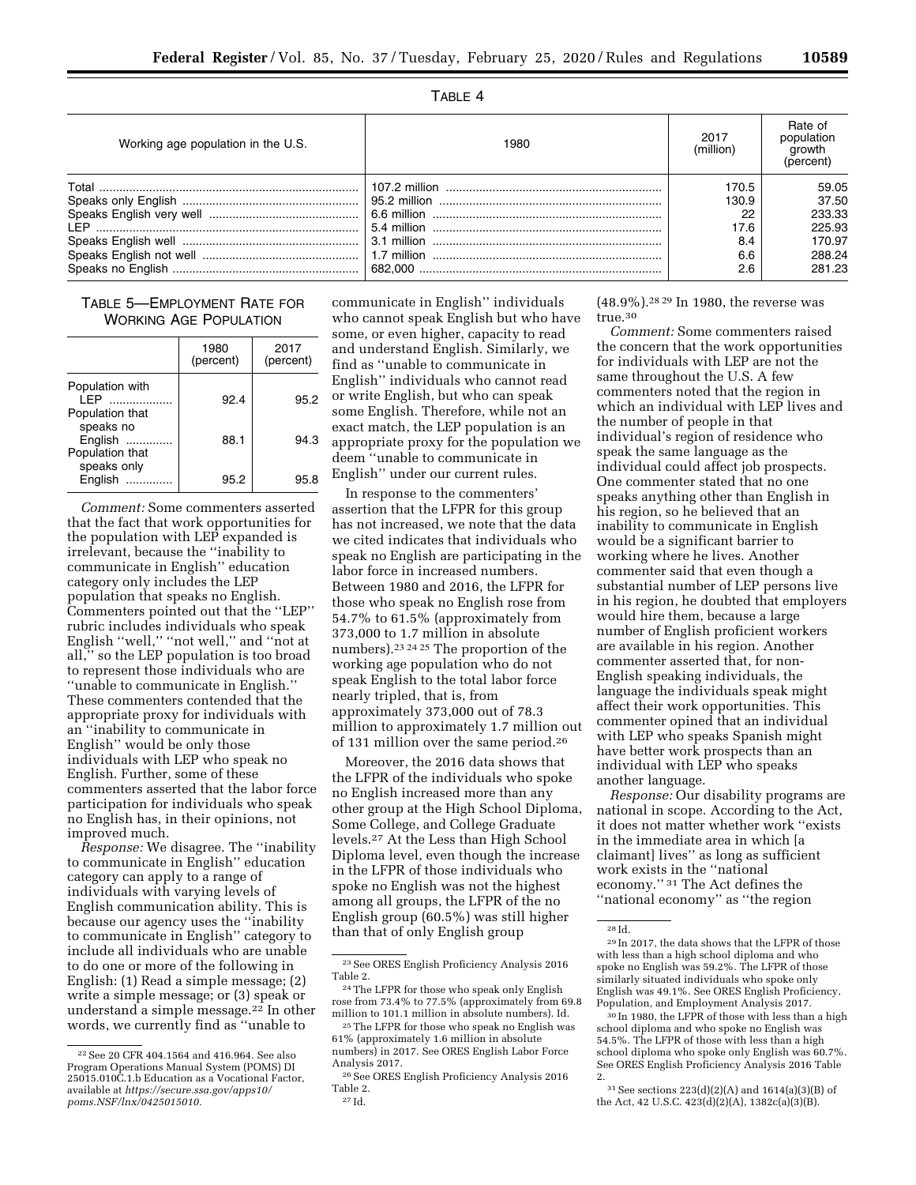TABLE 4

| Working age population in the U.S. | 1980 | 2017<br>(million)            | Rate of<br>population<br>growth<br>(percent) |
|------------------------------------|------|------------------------------|----------------------------------------------|
|                                    |      | 170.5<br>130.9<br>22<br>17.6 | 59.05<br>37.50<br>233.33<br>225.93           |
|                                    |      | 8.4<br>6.6<br>2.6            | 170.97<br>288.24<br>281.23                   |

# TABLE 5—EMPLOYMENT RATE FOR WORKING AGE POPULATION

|                                                 | 1980<br>(percent) | 2017<br>(percent) |
|-------------------------------------------------|-------------------|-------------------|
| Population with<br>I FP<br>.<br>Population that | 92.4              | 95.2              |
| speaks no<br>English<br>Population that         | 88.1              | 94.3              |
| speaks only<br>English                          | 95.2              | 95 R              |

*Comment:* Some commenters asserted that the fact that work opportunities for the population with LEP expanded is irrelevant, because the ''inability to communicate in English'' education category only includes the LEP population that speaks no English. Commenters pointed out that the ''LEP'' rubric includes individuals who speak English "well," "not well," and "not at all,'' so the LEP population is too broad to represent those individuals who are ''unable to communicate in English.'' These commenters contended that the appropriate proxy for individuals with an ''inability to communicate in English'' would be only those individuals with LEP who speak no English. Further, some of these commenters asserted that the labor force participation for individuals who speak no English has, in their opinions, not improved much.

*Response:* We disagree. The ''inability to communicate in English'' education category can apply to a range of individuals with varying levels of English communication ability. This is because our agency uses the ''inability to communicate in English'' category to include all individuals who are unable to do one or more of the following in English: (1) Read a simple message; (2) write a simple message; or (3) speak or understand a simple message.22 In other words, we currently find as ''unable to

communicate in English'' individuals who cannot speak English but who have some, or even higher, capacity to read and understand English. Similarly, we find as ''unable to communicate in English'' individuals who cannot read or write English, but who can speak some English. Therefore, while not an exact match, the LEP population is an appropriate proxy for the population we deem ''unable to communicate in English'' under our current rules.

In response to the commenters' assertion that the LFPR for this group has not increased, we note that the data we cited indicates that individuals who speak no English are participating in the labor force in increased numbers. Between 1980 and 2016, the LFPR for those who speak no English rose from 54.7% to 61.5% (approximately from 373,000 to 1.7 million in absolute numbers).23 24 25 The proportion of the working age population who do not speak English to the total labor force nearly tripled, that is, from approximately 373,000 out of 78.3 million to approximately 1.7 million out of 131 million over the same period.26

Moreover, the 2016 data shows that the LFPR of the individuals who spoke no English increased more than any other group at the High School Diploma, Some College, and College Graduate levels.27 At the Less than High School Diploma level, even though the increase in the LFPR of those individuals who spoke no English was not the highest among all groups, the LFPR of the no English group (60.5%) was still higher than that of only English group

(48.9%).28 29 In 1980, the reverse was true.30

*Comment:* Some commenters raised the concern that the work opportunities for individuals with LEP are not the same throughout the U.S. A few commenters noted that the region in which an individual with LEP lives and the number of people in that individual's region of residence who speak the same language as the individual could affect job prospects. One commenter stated that no one speaks anything other than English in his region, so he believed that an inability to communicate in English would be a significant barrier to working where he lives. Another commenter said that even though a substantial number of LEP persons live in his region, he doubted that employers would hire them, because a large number of English proficient workers are available in his region. Another commenter asserted that, for non-English speaking individuals, the language the individuals speak might affect their work opportunities. This commenter opined that an individual with LEP who speaks Spanish might have better work prospects than an individual with LEP who speaks another language.

*Response:* Our disability programs are national in scope. According to the Act, it does not matter whether work ''exists in the immediate area in which [a claimant] lives'' as long as sufficient work exists in the ''national economy.'' 31 The Act defines the ''national economy'' as ''the region

<sup>22</sup>See 20 CFR 404.1564 and 416.964. See also Program Operations Manual System (POMS) DI 25015.010C.1.b Education as a Vocational Factor, available at *[https://secure.ssa.gov/apps10/](https://secure.ssa.gov/apps10/poms.NSF/lnx/0425015010)  [poms.NSF/lnx/0425015010.](https://secure.ssa.gov/apps10/poms.NSF/lnx/0425015010)* 

 $^{\rm 23}$  See ORES English Proficiency Analysis 2016 Table 2.

<sup>24</sup>The LFPR for those who speak only English rose from 73.4% to 77.5% (approximately from 69.8 million to 101.1 million in absolute numbers). Id.

<sup>25</sup>The LFPR for those who speak no English was 61% (approximately 1.6 million in absolute numbers) in 2017. See ORES English Labor Force Analysis 2017.

<sup>26</sup>See ORES English Proficiency Analysis 2016 Table 2. 27 Id.

<sup>28</sup> Id.

<sup>29</sup> In 2017, the data shows that the LFPR of those with less than a high school diploma and who spoke no English was 59.2%. The LFPR of those similarly situated individuals who spoke only English was 49.1%. See ORES English Proficiency, Population, and Employment Analysis 2017.

<sup>30</sup> In 1980, the LFPR of those with less than a high school diploma and who spoke no English was 54.5%. The LFPR of those with less than a high school diploma who spoke only English was 60.7%. See ORES English Proficiency Analysis 2016 Table 2.

 $31$  See sections 223(d)(2)(A) and 1614(a)(3)(B) of the Act, 42 U.S.C. 423(d)(2)(A), 1382c(a)(3)(B).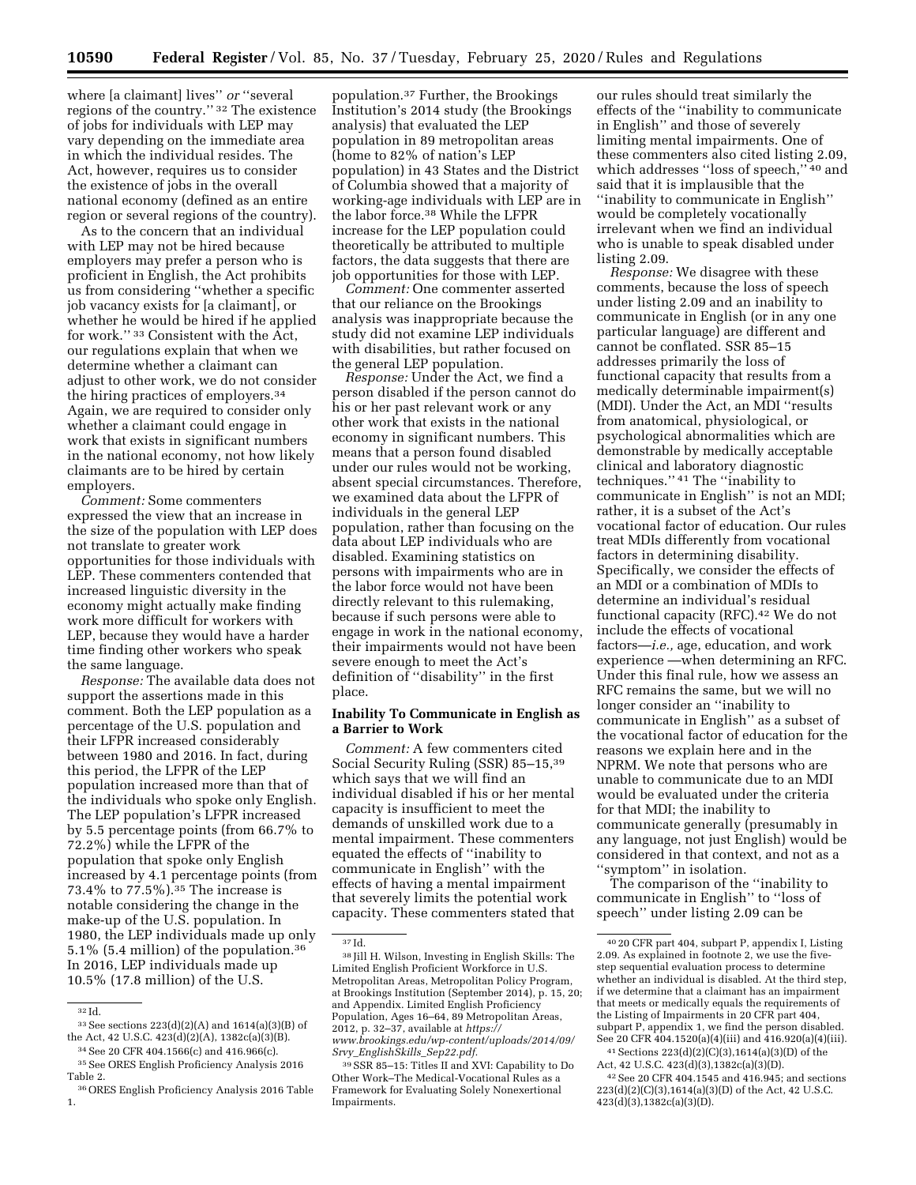where [a claimant] lives'' *or* ''several regions of the country.'' 32 The existence of jobs for individuals with LEP may vary depending on the immediate area in which the individual resides. The Act, however, requires us to consider the existence of jobs in the overall national economy (defined as an entire region or several regions of the country).

As to the concern that an individual with LEP may not be hired because employers may prefer a person who is proficient in English, the Act prohibits us from considering ''whether a specific job vacancy exists for [a claimant], or whether he would be hired if he applied for work.'' 33 Consistent with the Act, our regulations explain that when we determine whether a claimant can adjust to other work, we do not consider the hiring practices of employers.34 Again, we are required to consider only whether a claimant could engage in work that exists in significant numbers in the national economy, not how likely claimants are to be hired by certain employers.

*Comment:* Some commenters expressed the view that an increase in the size of the population with LEP does not translate to greater work opportunities for those individuals with LEP. These commenters contended that increased linguistic diversity in the economy might actually make finding work more difficult for workers with LEP, because they would have a harder time finding other workers who speak the same language.

*Response:* The available data does not support the assertions made in this comment. Both the LEP population as a percentage of the U.S. population and their LFPR increased considerably between 1980 and 2016. In fact, during this period, the LFPR of the LEP population increased more than that of the individuals who spoke only English. The LEP population's LFPR increased by 5.5 percentage points (from 66.7% to 72.2%) while the LFPR of the population that spoke only English increased by 4.1 percentage points (from 73.4% to 77.5%).35 The increase is notable considering the change in the make-up of the U.S. population. In 1980, the LEP individuals made up only 5.1% (5.4 million) of the population.36 In 2016, LEP individuals made up 10.5% (17.8 million) of the U.S.

population.37 Further, the Brookings Institution's 2014 study (the Brookings analysis) that evaluated the LEP population in 89 metropolitan areas (home to 82% of nation's LEP population) in 43 States and the District of Columbia showed that a majority of working-age individuals with LEP are in the labor force.38 While the LFPR increase for the LEP population could theoretically be attributed to multiple factors, the data suggests that there are job opportunities for those with LEP.

*Comment:* One commenter asserted that our reliance on the Brookings analysis was inappropriate because the study did not examine LEP individuals with disabilities, but rather focused on the general LEP population.

*Response:* Under the Act, we find a person disabled if the person cannot do his or her past relevant work or any other work that exists in the national economy in significant numbers. This means that a person found disabled under our rules would not be working, absent special circumstances. Therefore, we examined data about the LFPR of individuals in the general LEP population, rather than focusing on the data about LEP individuals who are disabled. Examining statistics on persons with impairments who are in the labor force would not have been directly relevant to this rulemaking, because if such persons were able to engage in work in the national economy, their impairments would not have been severe enough to meet the Act's definition of ''disability'' in the first place.

### **Inability To Communicate in English as a Barrier to Work**

*Comment:* A few commenters cited Social Security Ruling (SSR) 85–15,39 which says that we will find an individual disabled if his or her mental capacity is insufficient to meet the demands of unskilled work due to a mental impairment. These commenters equated the effects of ''inability to communicate in English'' with the effects of having a mental impairment that severely limits the potential work capacity. These commenters stated that

our rules should treat similarly the effects of the ''inability to communicate in English'' and those of severely limiting mental impairments. One of these commenters also cited listing 2.09, which addresses ''loss of speech,'' 40 and said that it is implausible that the ''inability to communicate in English'' would be completely vocationally irrelevant when we find an individual who is unable to speak disabled under listing 2.09.

*Response:* We disagree with these comments, because the loss of speech under listing 2.09 and an inability to communicate in English (or in any one particular language) are different and cannot be conflated. SSR 85–15 addresses primarily the loss of functional capacity that results from a medically determinable impairment(s) (MDI). Under the Act, an MDI ''results from anatomical, physiological, or psychological abnormalities which are demonstrable by medically acceptable clinical and laboratory diagnostic techniques.'' 41 The ''inability to communicate in English'' is not an MDI; rather, it is a subset of the Act's vocational factor of education. Our rules treat MDIs differently from vocational factors in determining disability. Specifically, we consider the effects of an MDI or a combination of MDIs to determine an individual's residual functional capacity (RFC).<sup>42</sup> We do not include the effects of vocational factors—*i.e.,* age, education, and work experience —when determining an RFC. Under this final rule, how we assess an RFC remains the same, but we will no longer consider an ''inability to communicate in English'' as a subset of the vocational factor of education for the reasons we explain here and in the NPRM. We note that persons who are unable to communicate due to an MDI would be evaluated under the criteria for that MDI; the inability to communicate generally (presumably in any language, not just English) would be considered in that context, and not as a ''symptom'' in isolation.

The comparison of the ''inability to communicate in English'' to ''loss of speech'' under listing 2.09 can be

Act, 42 U.S.C. 423(d)(3),1382c(a)(3)(D).

<sup>32</sup> Id.

<sup>33</sup>See sections 223(d)(2)(A) and 1614(a)(3)(B) of the Act, 42 U.S.C. 423(d)(2)(A), 1382c(a)(3)(B).

<sup>34</sup>See 20 CFR 404.1566(c) and 416.966(c). 35See ORES English Proficiency Analysis 2016

Table 2. 36ORES English Proficiency Analysis 2016 Table

<sup>1.</sup> 

<sup>37</sup> Id.

<sup>38</sup> Jill H. Wilson, Investing in English Skills: The Limited English Proficient Workforce in U.S. Metropolitan Areas, Metropolitan Policy Program, at Brookings Institution (September 2014), p. 15, 20; and Appendix. Limited English Proficiency Population, Ages 16–64, 89 Metropolitan Areas, 2012, p. 32–37, available at *[https://](https://www.brookings.edu/wp-content/uploads/2014/09/Srvy_EnglishSkills_Sep22.pdf) [www.brookings.edu/wp-content/uploads/2014/09/](https://www.brookings.edu/wp-content/uploads/2014/09/Srvy_EnglishSkills_Sep22.pdf) Srvy*\_*[EnglishSkills](https://www.brookings.edu/wp-content/uploads/2014/09/Srvy_EnglishSkills_Sep22.pdf)*\_*Sep22.pdf.* 

<sup>39</sup>SSR 85–15: Titles II and XVI: Capability to Do Other Work–The Medical-Vocational Rules as a Framework for Evaluating Solely Nonexertional Impairments.

<sup>40</sup> 20 CFR part 404, subpart P, appendix I, Listing 2.09. As explained in footnote 2, we use the fivestep sequential evaluation process to determine whether an individual is disabled. At the third step, if we determine that a claimant has an impairment that meets or medically equals the requirements of the Listing of Impairments in 20 CFR part 404, subpart P, appendix 1, we find the person disabled. See 20 CFR  $404.1520(a)(4)(iii)$  and  $416.920(a)(4)(iii)$ . 41Sections 223(d)(2)(C)(3),1614(a)(3)(D) of the

 $\rm ^{42}$  See 20 CFR 404.1545 and 416.945; and sections 223(d)(2)(C)(3),1614(a)(3)(D) of the Act, 42 U.S.C. 423(d)(3),1382c(a)(3)(D).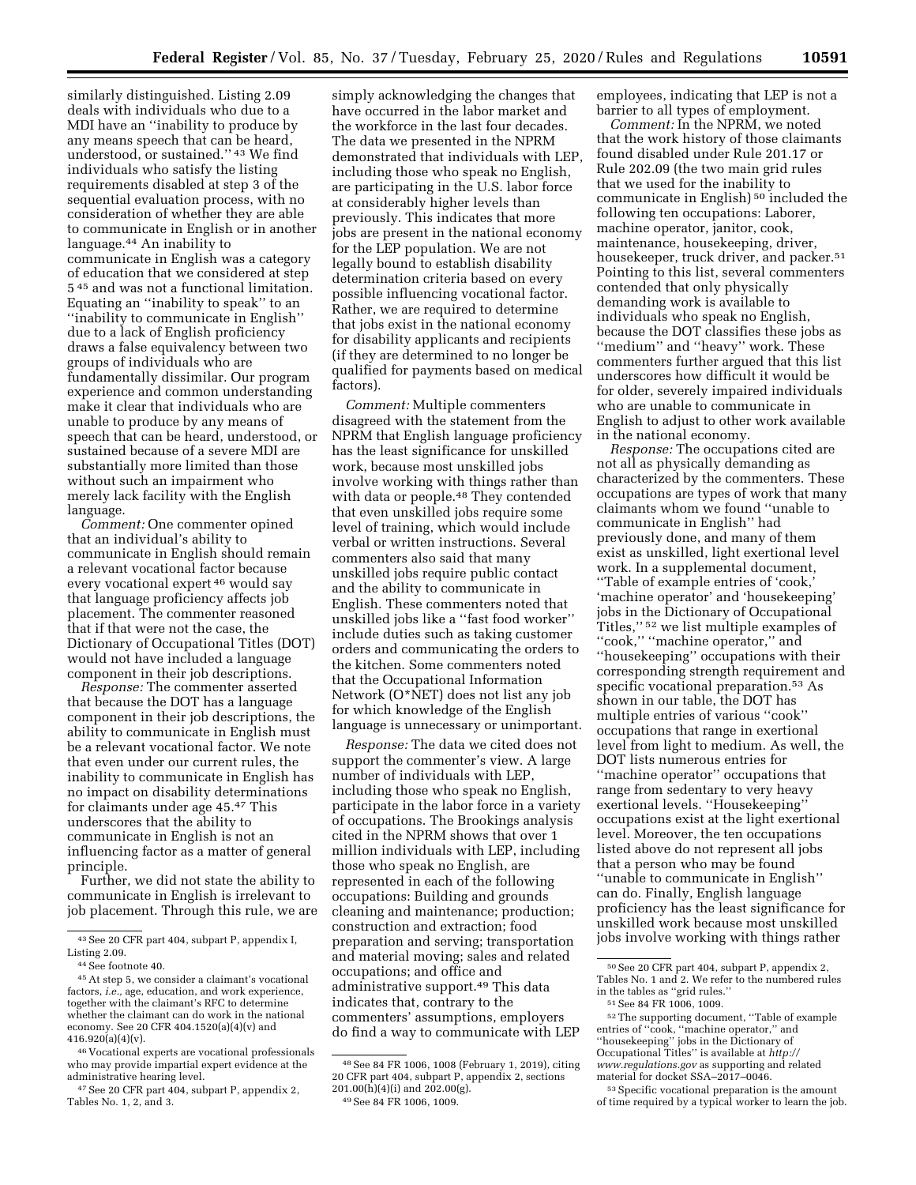similarly distinguished. Listing 2.09 deals with individuals who due to a MDI have an ''inability to produce by any means speech that can be heard, understood, or sustained.'' 43 We find individuals who satisfy the listing requirements disabled at step 3 of the sequential evaluation process, with no consideration of whether they are able to communicate in English or in another language.44 An inability to communicate in English was a category of education that we considered at step 5 45 and was not a functional limitation. Equating an ''inability to speak'' to an ''inability to communicate in English'' due to a lack of English proficiency draws a false equivalency between two groups of individuals who are fundamentally dissimilar. Our program experience and common understanding make it clear that individuals who are unable to produce by any means of speech that can be heard, understood, or sustained because of a severe MDI are substantially more limited than those without such an impairment who merely lack facility with the English language.

*Comment:* One commenter opined that an individual's ability to communicate in English should remain a relevant vocational factor because every vocational expert 46 would say that language proficiency affects job placement. The commenter reasoned that if that were not the case, the Dictionary of Occupational Titles (DOT) would not have included a language component in their job descriptions.

*Response:* The commenter asserted that because the DOT has a language component in their job descriptions, the ability to communicate in English must be a relevant vocational factor. We note that even under our current rules, the inability to communicate in English has no impact on disability determinations for claimants under age 45.47 This underscores that the ability to communicate in English is not an influencing factor as a matter of general principle.

Further, we did not state the ability to communicate in English is irrelevant to job placement. Through this rule, we are

simply acknowledging the changes that have occurred in the labor market and the workforce in the last four decades. The data we presented in the NPRM demonstrated that individuals with LEP, including those who speak no English, are participating in the U.S. labor force at considerably higher levels than previously. This indicates that more jobs are present in the national economy for the LEP population. We are not legally bound to establish disability determination criteria based on every possible influencing vocational factor. Rather, we are required to determine that jobs exist in the national economy for disability applicants and recipients (if they are determined to no longer be qualified for payments based on medical factors).

*Comment:* Multiple commenters disagreed with the statement from the NPRM that English language proficiency has the least significance for unskilled work, because most unskilled jobs involve working with things rather than with data or people.<sup>48</sup> They contended that even unskilled jobs require some level of training, which would include verbal or written instructions. Several commenters also said that many unskilled jobs require public contact and the ability to communicate in English. These commenters noted that unskilled jobs like a ''fast food worker'' include duties such as taking customer orders and communicating the orders to the kitchen. Some commenters noted that the Occupational Information Network (O\*NET) does not list any job for which knowledge of the English language is unnecessary or unimportant.

*Response:* The data we cited does not support the commenter's view. A large number of individuals with LEP, including those who speak no English, participate in the labor force in a variety of occupations. The Brookings analysis cited in the NPRM shows that over 1 million individuals with LEP, including those who speak no English, are represented in each of the following occupations: Building and grounds cleaning and maintenance; production; construction and extraction; food preparation and serving; transportation and material moving; sales and related occupations; and office and administrative support.49 This data indicates that, contrary to the commenters' assumptions, employers do find a way to communicate with LEP

employees, indicating that LEP is not a barrier to all types of employment.

*Comment:* In the NPRM, we noted that the work history of those claimants found disabled under Rule 201.17 or Rule 202.09 (the two main grid rules that we used for the inability to communicate in English) 50 included the following ten occupations: Laborer, machine operator, janitor, cook, maintenance, housekeeping, driver, housekeeper, truck driver, and packer.51 Pointing to this list, several commenters contended that only physically demanding work is available to individuals who speak no English, because the DOT classifies these jobs as ''medium'' and ''heavy'' work. These commenters further argued that this list underscores how difficult it would be for older, severely impaired individuals who are unable to communicate in English to adjust to other work available in the national economy.

*Response:* The occupations cited are not all as physically demanding as characterized by the commenters. These occupations are types of work that many claimants whom we found ''unable to communicate in English'' had previously done, and many of them exist as unskilled, light exertional level work. In a supplemental document, ''Table of example entries of 'cook,' 'machine operator' and 'housekeeping' jobs in the Dictionary of Occupational Titles,'' 52 we list multiple examples of ''cook,'' ''machine operator,'' and ''housekeeping'' occupations with their corresponding strength requirement and specific vocational preparation.<sup>53</sup> As shown in our table, the DOT has multiple entries of various ''cook'' occupations that range in exertional level from light to medium. As well, the DOT lists numerous entries for ''machine operator'' occupations that range from sedentary to very heavy exertional levels. ''Housekeeping'' occupations exist at the light exertional level. Moreover, the ten occupations listed above do not represent all jobs that a person who may be found ''unable to communicate in English'' can do. Finally, English language proficiency has the least significance for unskilled work because most unskilled jobs involve working with things rather

<sup>43</sup>See 20 CFR part 404, subpart P, appendix I, Listing 2.09.

<sup>44</sup>See footnote 40.

<sup>45</sup>At step 5, we consider a claimant's vocational factors, *i.e.,* age, education, and work experience, together with the claimant's RFC to determine whether the claimant can do work in the national economy. See 20 CFR 404.1520(a)(4)(v) and  $416.920(a)(4)(v)$ .

<sup>46</sup> Vocational experts are vocational professionals who may provide impartial expert evidence at the administrative hearing level.

<sup>47</sup>See 20 CFR part 404, subpart P, appendix 2, Tables No. 1, 2, and 3.

<sup>48</sup>See 84 FR 1006, 1008 (February 1, 2019), citing 20 CFR part 404, subpart P, appendix 2, sections 201.00(h)(4)(i) and 202.00(g).

<sup>49</sup>See 84 FR 1006, 1009.

<sup>50</sup>See 20 CFR part 404, subpart P, appendix 2, Tables No. 1 and 2. We refer to the numbered rules in the tables as ''grid rules.'' 51See 84 FR 1006, 1009.

<sup>52</sup>The supporting document, ''Table of example entries of ''cook, ''machine operator,'' and ''housekeeping'' jobs in the Dictionary of Occupational Titles'' is available at *[http://](http://www.regulations.gov) [www.regulations.gov](http://www.regulations.gov)* as supporting and related material for docket SSA–2017–0046.

<sup>53</sup>Specific vocational preparation is the amount of time required by a typical worker to learn the job.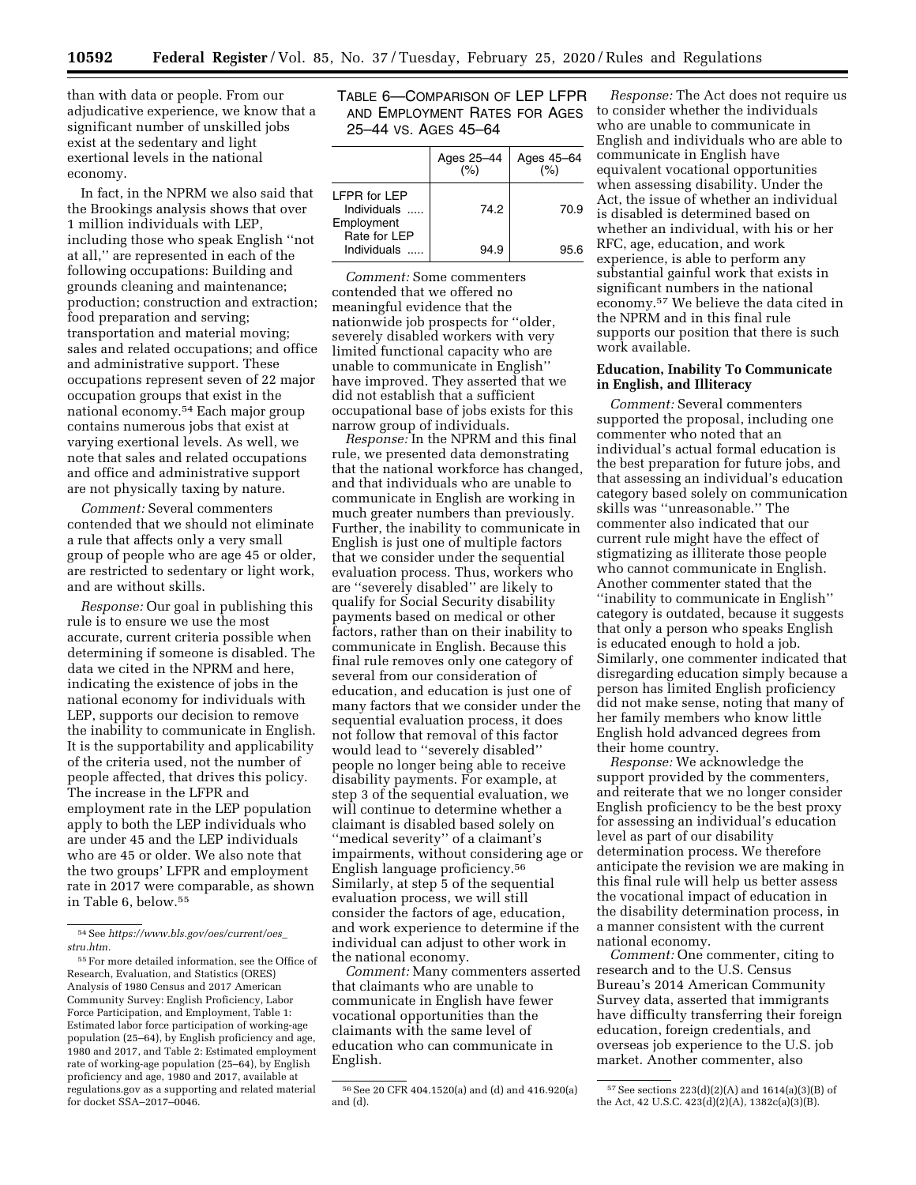than with data or people. From our adjudicative experience, we know that a significant number of unskilled jobs exist at the sedentary and light exertional levels in the national economy.

In fact, in the NPRM we also said that the Brookings analysis shows that over 1 million individuals with LEP, including those who speak English ''not at all,'' are represented in each of the following occupations: Building and grounds cleaning and maintenance; production; construction and extraction; food preparation and serving; transportation and material moving; sales and related occupations; and office and administrative support. These occupations represent seven of 22 major occupation groups that exist in the national economy.54 Each major group contains numerous jobs that exist at varying exertional levels. As well, we note that sales and related occupations and office and administrative support are not physically taxing by nature.

*Comment:* Several commenters contended that we should not eliminate a rule that affects only a very small group of people who are age 45 or older, are restricted to sedentary or light work, and are without skills.

*Response:* Our goal in publishing this rule is to ensure we use the most accurate, current criteria possible when determining if someone is disabled. The data we cited in the NPRM and here, indicating the existence of jobs in the national economy for individuals with LEP, supports our decision to remove the inability to communicate in English. It is the supportability and applicability of the criteria used, not the number of people affected, that drives this policy. The increase in the LFPR and employment rate in the LEP population apply to both the LEP individuals who are under 45 and the LEP individuals who are 45 or older. We also note that the two groups' LFPR and employment rate in 2017 were comparable, as shown in Table 6, below.55

## TABLE 6—COMPARISON OF LEP LFPR AND EMPLOYMENT RATES FOR AGES 25–44 VS. AGES 45–64

|                                                                  | Ages 25-44 | Ages 45-64 |
|------------------------------------------------------------------|------------|------------|
| <b>IFPR for LFP</b><br>Individuals<br>Employment<br>Rate for LEP | 74.2       | 70.9       |
| Individuals                                                      |            |            |

*Comment:* Some commenters contended that we offered no meaningful evidence that the nationwide job prospects for ''older, severely disabled workers with very limited functional capacity who are unable to communicate in English'' have improved. They asserted that we did not establish that a sufficient occupational base of jobs exists for this narrow group of individuals.

*Response:* In the NPRM and this final rule, we presented data demonstrating that the national workforce has changed, and that individuals who are unable to communicate in English are working in much greater numbers than previously. Further, the inability to communicate in English is just one of multiple factors that we consider under the sequential evaluation process. Thus, workers who are ''severely disabled'' are likely to qualify for Social Security disability payments based on medical or other factors, rather than on their inability to communicate in English. Because this final rule removes only one category of several from our consideration of education, and education is just one of many factors that we consider under the sequential evaluation process, it does not follow that removal of this factor would lead to ''severely disabled'' people no longer being able to receive disability payments. For example, at step 3 of the sequential evaluation, we will continue to determine whether a claimant is disabled based solely on ''medical severity'' of a claimant's impairments, without considering age or English language proficiency.56 Similarly, at step 5 of the sequential evaluation process, we will still consider the factors of age, education, and work experience to determine if the individual can adjust to other work in the national economy.

*Comment:* Many commenters asserted that claimants who are unable to communicate in English have fewer vocational opportunities than the claimants with the same level of education who can communicate in English.

*Response:* The Act does not require us to consider whether the individuals who are unable to communicate in English and individuals who are able to communicate in English have equivalent vocational opportunities when assessing disability. Under the Act, the issue of whether an individual is disabled is determined based on whether an individual, with his or her RFC, age, education, and work experience, is able to perform any substantial gainful work that exists in significant numbers in the national economy.57 We believe the data cited in the NPRM and in this final rule supports our position that there is such work available.

## **Education, Inability To Communicate in English, and Illiteracy**

*Comment:* Several commenters supported the proposal, including one commenter who noted that an individual's actual formal education is the best preparation for future jobs, and that assessing an individual's education category based solely on communication skills was ''unreasonable.'' The commenter also indicated that our current rule might have the effect of stigmatizing as illiterate those people who cannot communicate in English. Another commenter stated that the ''inability to communicate in English'' category is outdated, because it suggests that only a person who speaks English is educated enough to hold a job. Similarly, one commenter indicated that disregarding education simply because a person has limited English proficiency did not make sense, noting that many of her family members who know little English hold advanced degrees from their home country.

*Response:* We acknowledge the support provided by the commenters, and reiterate that we no longer consider English proficiency to be the best proxy for assessing an individual's education level as part of our disability determination process. We therefore anticipate the revision we are making in this final rule will help us better assess the vocational impact of education in the disability determination process, in a manner consistent with the current national economy.

*Comment:* One commenter, citing to research and to the U.S. Census Bureau's 2014 American Community Survey data, asserted that immigrants have difficulty transferring their foreign education, foreign credentials, and overseas job experience to the U.S. job market. Another commenter, also

<sup>54</sup>See *[https://www.bls.gov/oes/current/oes](https://www.bls.gov/oes/current/oes_stru.htm)*\_ *[stru.htm.](https://www.bls.gov/oes/current/oes_stru.htm)* 

<sup>55</sup>For more detailed information, see the Office of Research, Evaluation, and Statistics (ORES) Analysis of 1980 Census and 2017 American Community Survey: English Proficiency, Labor Force Participation, and Employment, Table 1: Estimated labor force participation of working-age population (25–64), by English proficiency and age, 1980 and 2017, and Table 2: Estimated employment rate of working-age population (25–64), by English proficiency and age, 1980 and 2017, available at regulations.gov as a supporting and related material for docket SSA–2017–0046.

<sup>56</sup>See 20 CFR 404.1520(a) and (d) and 416.920(a) and (d).

 $57$  See sections  $223(d)(2)(A)$  and  $1614(a)(3)(B)$  of the Act, 42 U.S.C. 423(d)(2)(A), 1382c(a)(3)(B).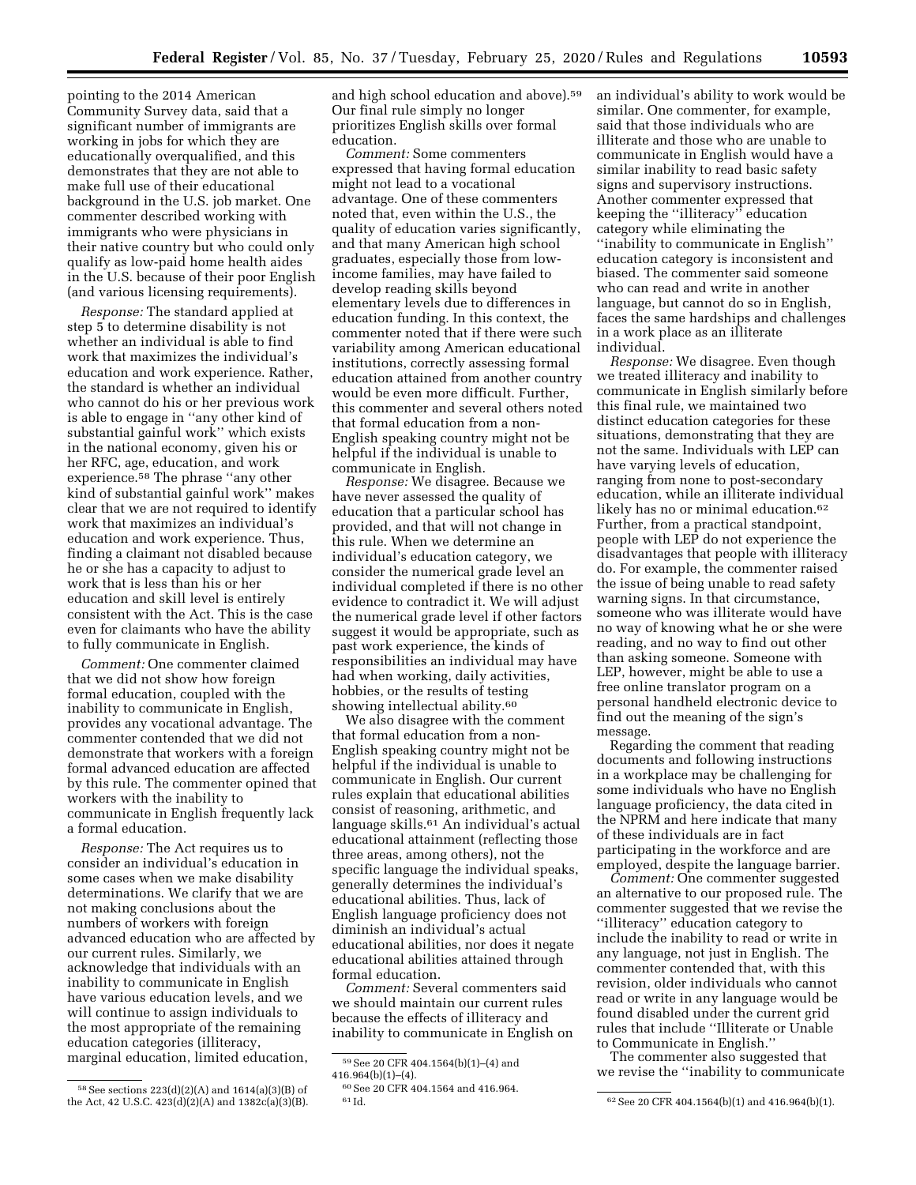pointing to the 2014 American Community Survey data, said that a significant number of immigrants are working in jobs for which they are educationally overqualified, and this demonstrates that they are not able to make full use of their educational background in the U.S. job market. One commenter described working with immigrants who were physicians in their native country but who could only qualify as low-paid home health aides in the U.S. because of their poor English (and various licensing requirements).

*Response:* The standard applied at step 5 to determine disability is not whether an individual is able to find work that maximizes the individual's education and work experience. Rather, the standard is whether an individual who cannot do his or her previous work is able to engage in ''any other kind of substantial gainful work'' which exists in the national economy, given his or her RFC, age, education, and work experience.58 The phrase ''any other kind of substantial gainful work'' makes clear that we are not required to identify work that maximizes an individual's education and work experience. Thus, finding a claimant not disabled because he or she has a capacity to adjust to work that is less than his or her education and skill level is entirely consistent with the Act. This is the case even for claimants who have the ability to fully communicate in English.

*Comment:* One commenter claimed that we did not show how foreign formal education, coupled with the inability to communicate in English, provides any vocational advantage. The commenter contended that we did not demonstrate that workers with a foreign formal advanced education are affected by this rule. The commenter opined that workers with the inability to communicate in English frequently lack a formal education.

*Response:* The Act requires us to consider an individual's education in some cases when we make disability determinations. We clarify that we are not making conclusions about the numbers of workers with foreign advanced education who are affected by our current rules. Similarly, we acknowledge that individuals with an inability to communicate in English have various education levels, and we will continue to assign individuals to the most appropriate of the remaining education categories (illiteracy, marginal education, limited education,

and high school education and above).59 Our final rule simply no longer prioritizes English skills over formal education.

*Comment:* Some commenters expressed that having formal education might not lead to a vocational advantage. One of these commenters noted that, even within the U.S., the quality of education varies significantly, and that many American high school graduates, especially those from lowincome families, may have failed to develop reading skills beyond elementary levels due to differences in education funding. In this context, the commenter noted that if there were such variability among American educational institutions, correctly assessing formal education attained from another country would be even more difficult. Further, this commenter and several others noted that formal education from a non-English speaking country might not be helpful if the individual is unable to communicate in English.

*Response:* We disagree. Because we have never assessed the quality of education that a particular school has provided, and that will not change in this rule. When we determine an individual's education category, we consider the numerical grade level an individual completed if there is no other evidence to contradict it. We will adjust the numerical grade level if other factors suggest it would be appropriate, such as past work experience, the kinds of responsibilities an individual may have had when working, daily activities, hobbies, or the results of testing showing intellectual ability.<sup>60</sup>

We also disagree with the comment that formal education from a non-English speaking country might not be helpful if the individual is unable to communicate in English. Our current rules explain that educational abilities consist of reasoning, arithmetic, and language skills.61 An individual's actual educational attainment (reflecting those three areas, among others), not the specific language the individual speaks, generally determines the individual's educational abilities. Thus, lack of English language proficiency does not diminish an individual's actual educational abilities, nor does it negate educational abilities attained through formal education.

*Comment:* Several commenters said we should maintain our current rules because the effects of illiteracy and inability to communicate in English on an individual's ability to work would be similar. One commenter, for example, said that those individuals who are illiterate and those who are unable to communicate in English would have a similar inability to read basic safety signs and supervisory instructions. Another commenter expressed that keeping the ''illiteracy'' education category while eliminating the ''inability to communicate in English'' education category is inconsistent and biased. The commenter said someone who can read and write in another language, but cannot do so in English, faces the same hardships and challenges in a work place as an illiterate individual.

*Response:* We disagree. Even though we treated illiteracy and inability to communicate in English similarly before this final rule, we maintained two distinct education categories for these situations, demonstrating that they are not the same. Individuals with LEP can have varying levels of education, ranging from none to post-secondary education, while an illiterate individual likely has no or minimal education.<sup>62</sup> Further, from a practical standpoint, people with LEP do not experience the disadvantages that people with illiteracy do. For example, the commenter raised the issue of being unable to read safety warning signs. In that circumstance, someone who was illiterate would have no way of knowing what he or she were reading, and no way to find out other than asking someone. Someone with LEP, however, might be able to use a free online translator program on a personal handheld electronic device to find out the meaning of the sign's message.

Regarding the comment that reading documents and following instructions in a workplace may be challenging for some individuals who have no English language proficiency, the data cited in the NPRM and here indicate that many of these individuals are in fact participating in the workforce and are employed, despite the language barrier.

*Comment:* One commenter suggested an alternative to our proposed rule. The commenter suggested that we revise the ''illiteracy'' education category to include the inability to read or write in any language, not just in English. The commenter contended that, with this revision, older individuals who cannot read or write in any language would be found disabled under the current grid rules that include ''Illiterate or Unable to Communicate in English.''

The commenter also suggested that we revise the ''inability to communicate

<sup>58</sup>See sections 223(d)(2)(A) and 1614(a)(3)(B) of the Act, 42 U.S.C. 423(d)(2)(A) and 1382c(a)(3)(B).

<sup>59</sup>See 20 CFR 404.1564(b)(1)–(4) and  $416.964(b)(1)–(4)$ .

 $^{60}\rm{See}$  20 CFR 404.1564 and 416.964.  $^{61}\rm{Id}.$ 

 $62$  See 20 CFR 404.1564(b)(1) and 416.964(b)(1).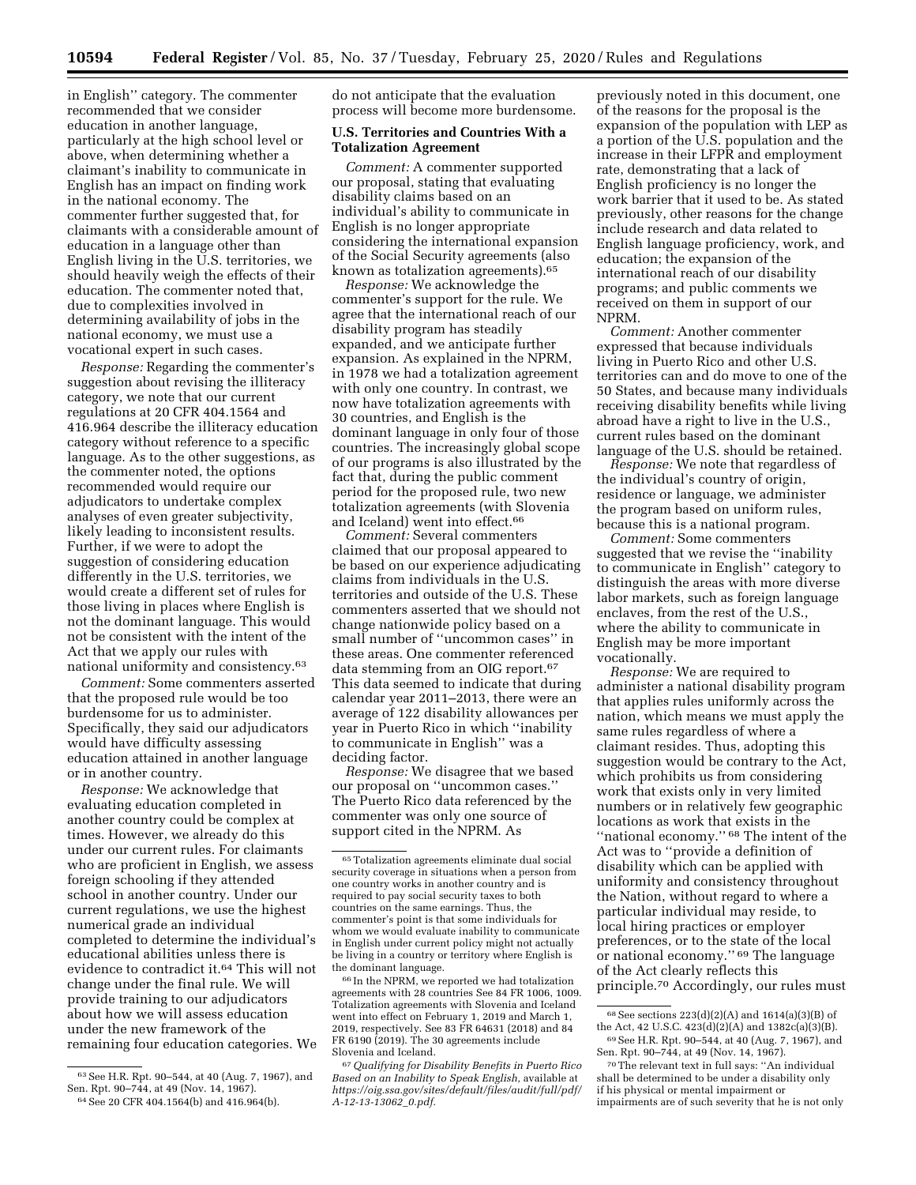**Totalization Agreement** 

do not anticipate that the evaluation process will become more burdensome. **U.S. Territories and Countries With a** 

in English'' category. The commenter recommended that we consider education in another language, particularly at the high school level or above, when determining whether a claimant's inability to communicate in English has an impact on finding work in the national economy. The commenter further suggested that, for claimants with a considerable amount of education in a language other than English living in the U.S. territories, we should heavily weigh the effects of their education. The commenter noted that, due to complexities involved in determining availability of jobs in the national economy, we must use a vocational expert in such cases.

*Response:* Regarding the commenter's suggestion about revising the illiteracy category, we note that our current regulations at 20 CFR 404.1564 and 416.964 describe the illiteracy education category without reference to a specific language. As to the other suggestions, as the commenter noted, the options recommended would require our adjudicators to undertake complex analyses of even greater subjectivity, likely leading to inconsistent results. Further, if we were to adopt the suggestion of considering education differently in the U.S. territories, we would create a different set of rules for those living in places where English is not the dominant language. This would not be consistent with the intent of the Act that we apply our rules with national uniformity and consistency.63

*Comment:* Some commenters asserted that the proposed rule would be too burdensome for us to administer. Specifically, they said our adjudicators would have difficulty assessing education attained in another language or in another country.

*Response:* We acknowledge that evaluating education completed in another country could be complex at times. However, we already do this under our current rules. For claimants who are proficient in English, we assess foreign schooling if they attended school in another country. Under our current regulations, we use the highest numerical grade an individual completed to determine the individual's educational abilities unless there is evidence to contradict it.64 This will not change under the final rule. We will provide training to our adjudicators about how we will assess education under the new framework of the remaining four education categories. We

individual's ability to communicate in

English is no longer appropriate considering the international expansion of the Social Security agreements (also known as totalization agreements).65

*Comment:* A commenter supported our proposal, stating that evaluating disability claims based on an

*Response:* We acknowledge the commenter's support for the rule. We agree that the international reach of our disability program has steadily expanded, and we anticipate further expansion. As explained in the NPRM, in 1978 we had a totalization agreement with only one country. In contrast, we now have totalization agreements with 30 countries, and English is the dominant language in only four of those countries. The increasingly global scope of our programs is also illustrated by the fact that, during the public comment period for the proposed rule, two new totalization agreements (with Slovenia and Iceland) went into effect.<sup>66</sup>

*Comment:* Several commenters claimed that our proposal appeared to be based on our experience adjudicating claims from individuals in the U.S. territories and outside of the U.S. These commenters asserted that we should not change nationwide policy based on a small number of ''uncommon cases'' in these areas. One commenter referenced data stemming from an OIG report.67 This data seemed to indicate that during calendar year 2011–2013, there were an average of 122 disability allowances per year in Puerto Rico in which ''inability to communicate in English'' was a deciding factor.

*Response:* We disagree that we based our proposal on ''uncommon cases.'' The Puerto Rico data referenced by the commenter was only one source of support cited in the NPRM. As

66 In the NPRM, we reported we had totalization agreements with 28 countries See 84 FR 1006, 1009. Totalization agreements with Slovenia and Iceland went into effect on February 1, 2019 and March 1, 2019, respectively. See 83 FR 64631 (2018) and 84 FR 6190 (2019). The 30 agreements include Slovenia and Iceland.

67*Qualifying for Disability Benefits in Puerto Rico Based on an Inability to Speak English,* available at *[https://oig.ssa.gov/sites/default/files/audit/full/pdf/](https://oig.ssa.gov/sites/default/files/audit/full/pdf/A-12-13-13062_0.pdf)  [A-12-13-13062](https://oig.ssa.gov/sites/default/files/audit/full/pdf/A-12-13-13062_0.pdf)*\_*0.pdf.* 

previously noted in this document, one of the reasons for the proposal is the expansion of the population with LEP as a portion of the U.S. population and the increase in their LFPR and employment rate, demonstrating that a lack of English proficiency is no longer the work barrier that it used to be. As stated previously, other reasons for the change include research and data related to English language proficiency, work, and education; the expansion of the international reach of our disability programs; and public comments we received on them in support of our NPRM.

*Comment:* Another commenter expressed that because individuals living in Puerto Rico and other U.S. territories can and do move to one of the 50 States, and because many individuals receiving disability benefits while living abroad have a right to live in the U.S., current rules based on the dominant language of the U.S. should be retained.

*Response:* We note that regardless of the individual's country of origin, residence or language, we administer the program based on uniform rules, because this is a national program.

*Comment:* Some commenters suggested that we revise the ''inability to communicate in English'' category to distinguish the areas with more diverse labor markets, such as foreign language enclaves, from the rest of the U.S., where the ability to communicate in English may be more important vocationally.

*Response:* We are required to administer a national disability program that applies rules uniformly across the nation, which means we must apply the same rules regardless of where a claimant resides. Thus, adopting this suggestion would be contrary to the Act, which prohibits us from considering work that exists only in very limited numbers or in relatively few geographic locations as work that exists in the "national economy."  $68$  The intent of the Act was to ''provide a definition of disability which can be applied with uniformity and consistency throughout the Nation, without regard to where a particular individual may reside, to local hiring practices or employer preferences, or to the state of the local or national economy.'' 69 The language of the Act clearly reflects this principle.70 Accordingly, our rules must

<sup>63</sup>See H.R. Rpt. 90–544, at 40 (Aug. 7, 1967), and Sen. Rpt. 90–744, at 49 (Nov. 14, 1967). 64See 20 CFR 404.1564(b) and 416.964(b).

<sup>65</sup>Totalization agreements eliminate dual social security coverage in situations when a person from one country works in another country and is required to pay social security taxes to both countries on the same earnings. Thus, the commenter's point is that some individuals for whom we would evaluate inability to communicate in English under current policy might not actually be living in a country or territory where English is the dominant language.

 $68$  See sections 223(d)(2)(A) and 1614(a)(3)(B) of the Act, 42 U.S.C. 423(d)(2)(A) and 1382c(a)(3)(B). 69See H.R. Rpt. 90–544, at 40 (Aug. 7, 1967), and Sen. Rpt. 90–744, at 49 (Nov. 14, 1967).

<sup>70</sup>The relevant text in full says: ''An individual shall be determined to be under a disability only if his physical or mental impairment or impairments are of such severity that he is not only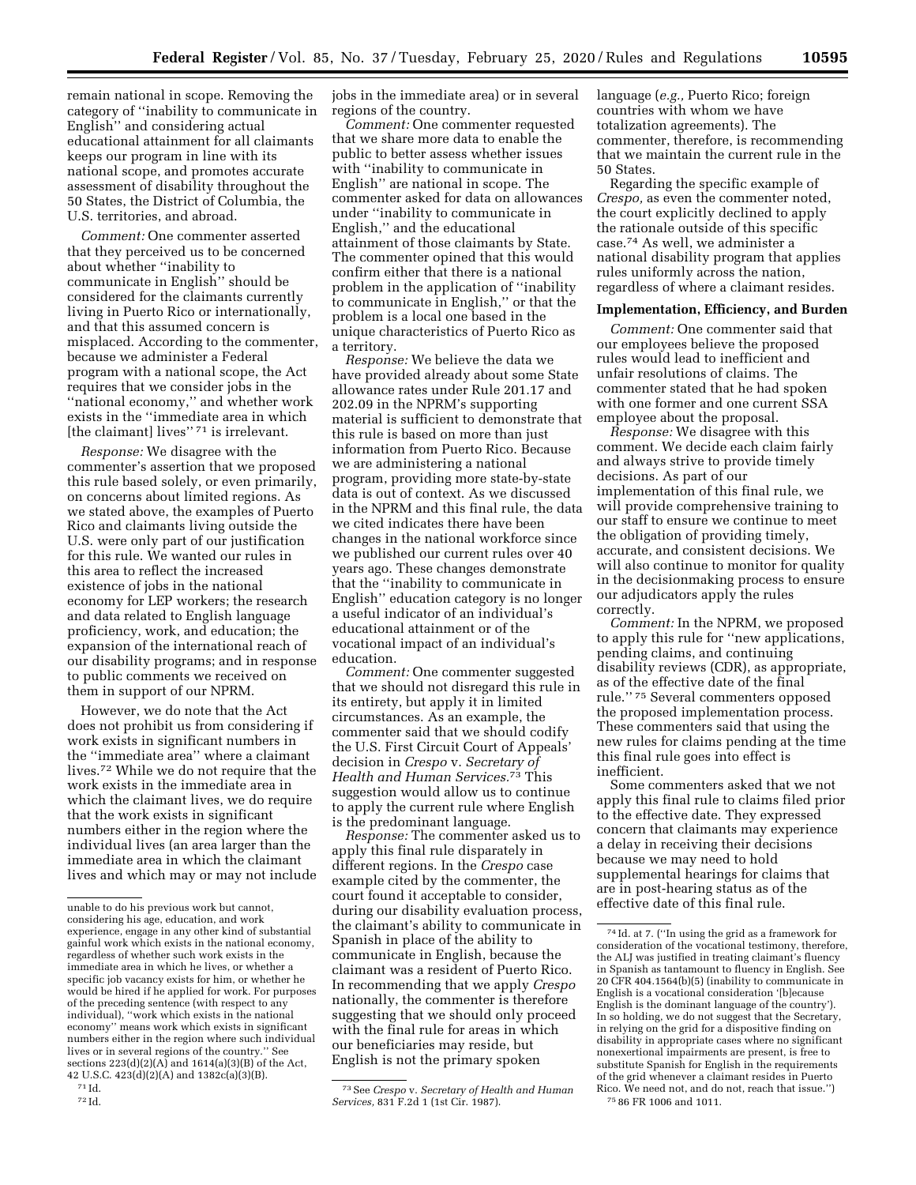remain national in scope. Removing the category of ''inability to communicate in English'' and considering actual educational attainment for all claimants keeps our program in line with its national scope, and promotes accurate assessment of disability throughout the 50 States, the District of Columbia, the U.S. territories, and abroad.

*Comment:* One commenter asserted that they perceived us to be concerned about whether ''inability to communicate in English'' should be considered for the claimants currently living in Puerto Rico or internationally, and that this assumed concern is misplaced. According to the commenter, because we administer a Federal program with a national scope, the Act requires that we consider jobs in the ''national economy,'' and whether work exists in the ''immediate area in which [the claimant] lives"<sup>71</sup> is irrelevant.

*Response:* We disagree with the commenter's assertion that we proposed this rule based solely, or even primarily, on concerns about limited regions. As we stated above, the examples of Puerto Rico and claimants living outside the U.S. were only part of our justification for this rule. We wanted our rules in this area to reflect the increased existence of jobs in the national economy for LEP workers; the research and data related to English language proficiency, work, and education; the expansion of the international reach of our disability programs; and in response to public comments we received on them in support of our NPRM.

However, we do note that the Act does not prohibit us from considering if work exists in significant numbers in the ''immediate area'' where a claimant lives.72 While we do not require that the work exists in the immediate area in which the claimant lives, we do require that the work exists in significant numbers either in the region where the individual lives (an area larger than the immediate area in which the claimant lives and which may or may not include jobs in the immediate area) or in several regions of the country.

*Comment:* One commenter requested that we share more data to enable the public to better assess whether issues with ''inability to communicate in English'' are national in scope. The commenter asked for data on allowances under ''inability to communicate in English,'' and the educational attainment of those claimants by State. The commenter opined that this would confirm either that there is a national problem in the application of ''inability to communicate in English,'' or that the problem is a local one based in the unique characteristics of Puerto Rico as a territory.

*Response:* We believe the data we have provided already about some State allowance rates under Rule 201.17 and 202.09 in the NPRM's supporting material is sufficient to demonstrate that this rule is based on more than just information from Puerto Rico. Because we are administering a national program, providing more state-by-state data is out of context. As we discussed in the NPRM and this final rule, the data we cited indicates there have been changes in the national workforce since we published our current rules over 40 years ago. These changes demonstrate that the ''inability to communicate in English'' education category is no longer a useful indicator of an individual's educational attainment or of the vocational impact of an individual's education.

*Comment:* One commenter suggested that we should not disregard this rule in its entirety, but apply it in limited circumstances. As an example, the commenter said that we should codify the U.S. First Circuit Court of Appeals' decision in *Crespo* v. *Secretary of Health and Human Services.*73 This suggestion would allow us to continue to apply the current rule where English is the predominant language.

*Response:* The commenter asked us to apply this final rule disparately in different regions. In the *Crespo* case example cited by the commenter, the court found it acceptable to consider, during our disability evaluation process, the claimant's ability to communicate in Spanish in place of the ability to communicate in English, because the claimant was a resident of Puerto Rico. In recommending that we apply *Crespo*  nationally, the commenter is therefore suggesting that we should only proceed with the final rule for areas in which our beneficiaries may reside, but English is not the primary spoken

73See *Crespo* v. *Secretary of Health and Human Services,* 831 F.2d 1 (1st Cir. 1987).

language (*e.g.,* Puerto Rico; foreign countries with whom we have totalization agreements). The commenter, therefore, is recommending that we maintain the current rule in the 50 States.

Regarding the specific example of *Crespo,* as even the commenter noted, the court explicitly declined to apply the rationale outside of this specific case.74 As well, we administer a national disability program that applies rules uniformly across the nation, regardless of where a claimant resides.

### **Implementation, Efficiency, and Burden**

*Comment:* One commenter said that our employees believe the proposed rules would lead to inefficient and unfair resolutions of claims. The commenter stated that he had spoken with one former and one current SSA employee about the proposal.

*Response:* We disagree with this comment. We decide each claim fairly and always strive to provide timely decisions. As part of our implementation of this final rule, we will provide comprehensive training to our staff to ensure we continue to meet the obligation of providing timely, accurate, and consistent decisions. We will also continue to monitor for quality in the decisionmaking process to ensure our adjudicators apply the rules correctly.

*Comment:* In the NPRM, we proposed to apply this rule for ''new applications, pending claims, and continuing disability reviews (CDR), as appropriate, as of the effective date of the final rule.'' 75 Several commenters opposed the proposed implementation process. These commenters said that using the new rules for claims pending at the time this final rule goes into effect is inefficient.

Some commenters asked that we not apply this final rule to claims filed prior to the effective date. They expressed concern that claimants may experience a delay in receiving their decisions because we may need to hold supplemental hearings for claims that are in post-hearing status as of the effective date of this final rule.

unable to do his previous work but cannot, considering his age, education, and work experience, engage in any other kind of substantial gainful work which exists in the national economy, regardless of whether such work exists in the immediate area in which he lives, or whether a specific job vacancy exists for him, or whether he would be hired if he applied for work. For purposes of the preceding sentence (with respect to any individual), ''work which exists in the national economy'' means work which exists in significant numbers either in the region where such individual lives or in several regions of the country.'' See sections  $223(d)(2)(A)$  and  $1614(a)(3)(B)$  of the Act,

<sup>42</sup> U.S.C. 423(d)(2)(A) and 1382c(a)(3)(B). 71 Id.

<sup>72</sup> Id.

<sup>74</sup> Id. at 7. (''In using the grid as a framework for consideration of the vocational testimony, therefore, the ALJ was justified in treating claimant's fluency in Spanish as tantamount to fluency in English. See 20 CFR 404.1564(b)(5) (inability to communicate in English is a vocational consideration '[b]ecause English is the dominant language of the country'). In so holding, we do not suggest that the Secretary, in relying on the grid for a dispositive finding on disability in appropriate cases where no significant nonexertional impairments are present, is free to substitute Spanish for English in the requirements of the grid whenever a claimant resides in Puerto Rico. We need not, and do not, reach that issue.'') 75 86 FR 1006 and 1011.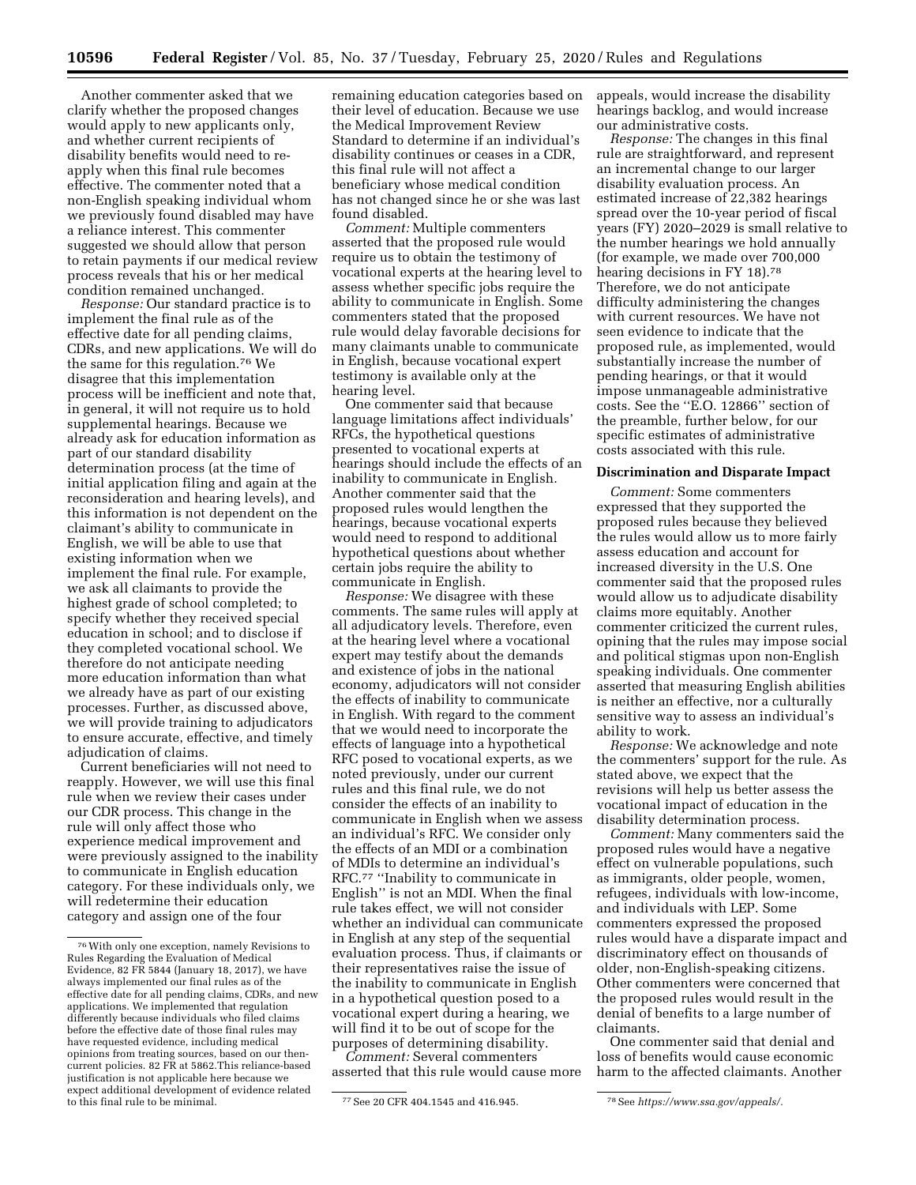Another commenter asked that we clarify whether the proposed changes would apply to new applicants only, and whether current recipients of disability benefits would need to reapply when this final rule becomes effective. The commenter noted that a non-English speaking individual whom we previously found disabled may have a reliance interest. This commenter suggested we should allow that person to retain payments if our medical review process reveals that his or her medical condition remained unchanged.

*Response:* Our standard practice is to implement the final rule as of the effective date for all pending claims, CDRs, and new applications. We will do the same for this regulation.76 We disagree that this implementation process will be inefficient and note that, in general, it will not require us to hold supplemental hearings. Because we already ask for education information as part of our standard disability determination process (at the time of initial application filing and again at the reconsideration and hearing levels), and this information is not dependent on the claimant's ability to communicate in English, we will be able to use that existing information when we implement the final rule. For example, we ask all claimants to provide the highest grade of school completed; to specify whether they received special education in school; and to disclose if they completed vocational school. We therefore do not anticipate needing more education information than what we already have as part of our existing processes. Further, as discussed above, we will provide training to adjudicators to ensure accurate, effective, and timely adjudication of claims.

Current beneficiaries will not need to reapply. However, we will use this final rule when we review their cases under our CDR process. This change in the rule will only affect those who experience medical improvement and were previously assigned to the inability to communicate in English education category. For these individuals only, we will redetermine their education category and assign one of the four

remaining education categories based on their level of education. Because we use the Medical Improvement Review Standard to determine if an individual's disability continues or ceases in a CDR, this final rule will not affect a beneficiary whose medical condition has not changed since he or she was last found disabled.

*Comment:* Multiple commenters asserted that the proposed rule would require us to obtain the testimony of vocational experts at the hearing level to assess whether specific jobs require the ability to communicate in English. Some commenters stated that the proposed rule would delay favorable decisions for many claimants unable to communicate in English, because vocational expert testimony is available only at the hearing level.

One commenter said that because language limitations affect individuals' RFCs, the hypothetical questions presented to vocational experts at hearings should include the effects of an inability to communicate in English. Another commenter said that the proposed rules would lengthen the hearings, because vocational experts would need to respond to additional hypothetical questions about whether certain jobs require the ability to communicate in English.

*Response:* We disagree with these comments. The same rules will apply at all adjudicatory levels. Therefore, even at the hearing level where a vocational expert may testify about the demands and existence of jobs in the national economy, adjudicators will not consider the effects of inability to communicate in English. With regard to the comment that we would need to incorporate the effects of language into a hypothetical RFC posed to vocational experts, as we noted previously, under our current rules and this final rule, we do not consider the effects of an inability to communicate in English when we assess an individual's RFC. We consider only the effects of an MDI or a combination of MDIs to determine an individual's RFC.77 ''Inability to communicate in English'' is not an MDI. When the final rule takes effect, we will not consider whether an individual can communicate in English at any step of the sequential evaluation process. Thus, if claimants or their representatives raise the issue of the inability to communicate in English in a hypothetical question posed to a vocational expert during a hearing, we will find it to be out of scope for the purposes of determining disability.

*Comment:* Several commenters asserted that this rule would cause more appeals, would increase the disability hearings backlog, and would increase our administrative costs.

*Response:* The changes in this final rule are straightforward, and represent an incremental change to our larger disability evaluation process. An estimated increase of 22,382 hearings spread over the 10-year period of fiscal years (FY) 2020–2029 is small relative to the number hearings we hold annually (for example, we made over 700,000 hearing decisions in FY 18).<sup>78</sup> Therefore, we do not anticipate difficulty administering the changes with current resources. We have not seen evidence to indicate that the proposed rule, as implemented, would substantially increase the number of pending hearings, or that it would impose unmanageable administrative costs. See the ''E.O. 12866'' section of the preamble, further below, for our specific estimates of administrative costs associated with this rule.

#### **Discrimination and Disparate Impact**

*Comment:* Some commenters expressed that they supported the proposed rules because they believed the rules would allow us to more fairly assess education and account for increased diversity in the U.S. One commenter said that the proposed rules would allow us to adjudicate disability claims more equitably. Another commenter criticized the current rules, opining that the rules may impose social and political stigmas upon non-English speaking individuals. One commenter asserted that measuring English abilities is neither an effective, nor a culturally sensitive way to assess an individual's ability to work.

*Response:* We acknowledge and note the commenters' support for the rule. As stated above, we expect that the revisions will help us better assess the vocational impact of education in the disability determination process.

*Comment:* Many commenters said the proposed rules would have a negative effect on vulnerable populations, such as immigrants, older people, women, refugees, individuals with low-income, and individuals with LEP. Some commenters expressed the proposed rules would have a disparate impact and discriminatory effect on thousands of older, non-English-speaking citizens. Other commenters were concerned that the proposed rules would result in the denial of benefits to a large number of claimants.

One commenter said that denial and loss of benefits would cause economic harm to the affected claimants. Another

<sup>76</sup>With only one exception, namely Revisions to Rules Regarding the Evaluation of Medical Evidence, 82 FR 5844 (January 18, 2017), we have always implemented our final rules as of the effective date for all pending claims, CDRs, and new applications. We implemented that regulation differently because individuals who filed claims before the effective date of those final rules may have requested evidence, including medical opinions from treating sources, based on our thencurrent policies. 82 FR at 5862.This reliance-based justification is not applicable here because we expect additional development of evidence related

to this final rule to be minimal. 77See 20 CFR 404.1545 and 416.945. 78See *[https://www.ssa.gov/appeals/.](https://www.ssa.gov/appeals/)*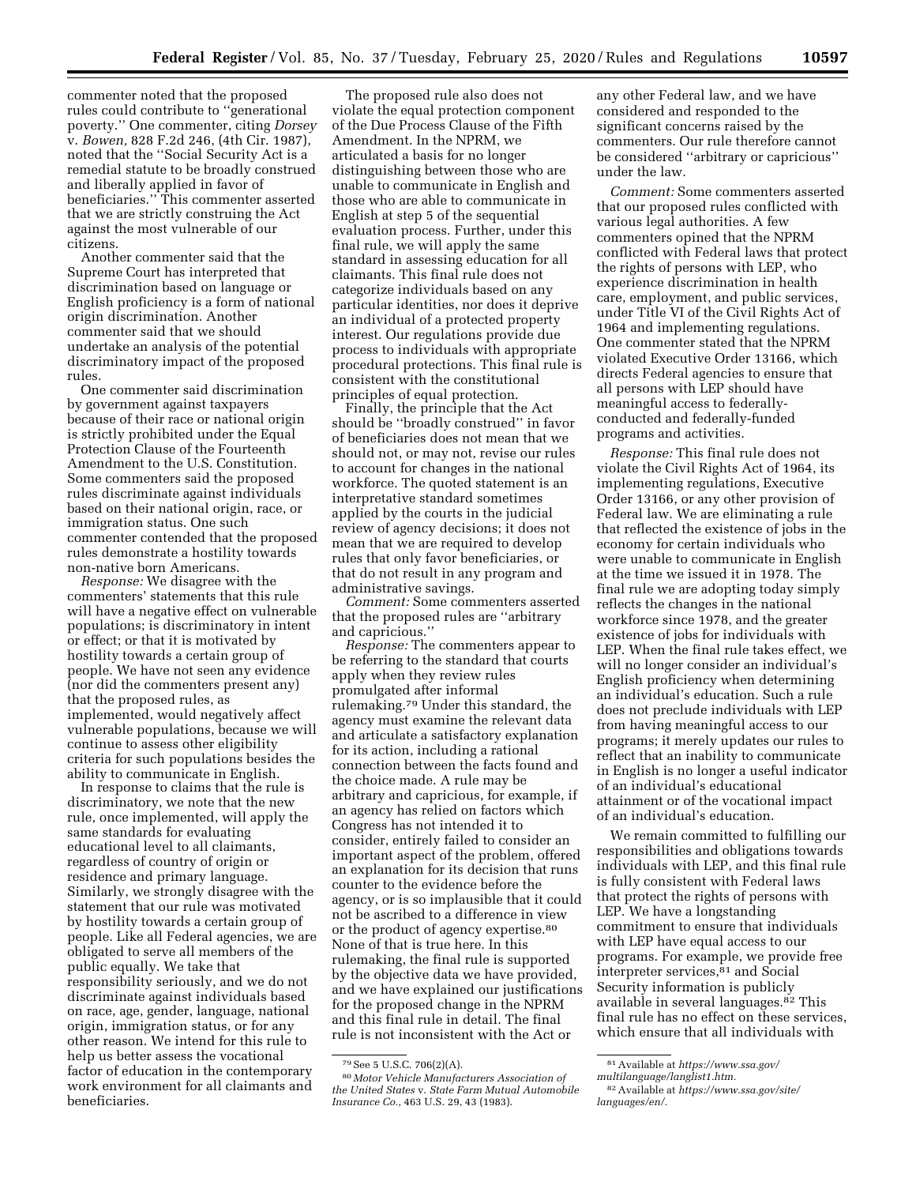commenter noted that the proposed rules could contribute to ''generational poverty.'' One commenter, citing *Dorsey*  v. *Bowen,* 828 F.2d 246, (4th Cir. 1987), noted that the ''Social Security Act is a remedial statute to be broadly construed and liberally applied in favor of beneficiaries.'' This commenter asserted that we are strictly construing the Act against the most vulnerable of our citizens.

Another commenter said that the Supreme Court has interpreted that discrimination based on language or English proficiency is a form of national origin discrimination. Another commenter said that we should undertake an analysis of the potential discriminatory impact of the proposed rules.

One commenter said discrimination by government against taxpayers because of their race or national origin is strictly prohibited under the Equal Protection Clause of the Fourteenth Amendment to the U.S. Constitution. Some commenters said the proposed rules discriminate against individuals based on their national origin, race, or immigration status. One such commenter contended that the proposed rules demonstrate a hostility towards non-native born Americans.

*Response:* We disagree with the commenters' statements that this rule will have a negative effect on vulnerable populations; is discriminatory in intent or effect; or that it is motivated by hostility towards a certain group of people. We have not seen any evidence (nor did the commenters present any) that the proposed rules, as implemented, would negatively affect vulnerable populations, because we will continue to assess other eligibility criteria for such populations besides the ability to communicate in English.

In response to claims that the rule is discriminatory, we note that the new rule, once implemented, will apply the same standards for evaluating educational level to all claimants, regardless of country of origin or residence and primary language. Similarly, we strongly disagree with the statement that our rule was motivated by hostility towards a certain group of people. Like all Federal agencies, we are obligated to serve all members of the public equally. We take that responsibility seriously, and we do not discriminate against individuals based on race, age, gender, language, national origin, immigration status, or for any other reason. We intend for this rule to help us better assess the vocational factor of education in the contemporary work environment for all claimants and beneficiaries.

The proposed rule also does not violate the equal protection component of the Due Process Clause of the Fifth Amendment. In the NPRM, we articulated a basis for no longer distinguishing between those who are unable to communicate in English and those who are able to communicate in English at step 5 of the sequential evaluation process. Further, under this final rule, we will apply the same standard in assessing education for all claimants. This final rule does not categorize individuals based on any particular identities, nor does it deprive an individual of a protected property interest. Our regulations provide due process to individuals with appropriate procedural protections. This final rule is consistent with the constitutional principles of equal protection.

Finally, the principle that the Act should be ''broadly construed'' in favor of beneficiaries does not mean that we should not, or may not, revise our rules to account for changes in the national workforce. The quoted statement is an interpretative standard sometimes applied by the courts in the judicial review of agency decisions; it does not mean that we are required to develop rules that only favor beneficiaries, or that do not result in any program and administrative savings.

*Comment:* Some commenters asserted that the proposed rules are ''arbitrary and capricious.''

*Response:* The commenters appear to be referring to the standard that courts apply when they review rules promulgated after informal rulemaking.79 Under this standard, the agency must examine the relevant data and articulate a satisfactory explanation for its action, including a rational connection between the facts found and the choice made. A rule may be arbitrary and capricious, for example, if an agency has relied on factors which Congress has not intended it to consider, entirely failed to consider an important aspect of the problem, offered an explanation for its decision that runs counter to the evidence before the agency, or is so implausible that it could not be ascribed to a difference in view or the product of agency expertise.80 None of that is true here. In this rulemaking, the final rule is supported by the objective data we have provided, and we have explained our justifications for the proposed change in the NPRM and this final rule in detail. The final rule is not inconsistent with the Act or

any other Federal law, and we have considered and responded to the significant concerns raised by the commenters. Our rule therefore cannot be considered ''arbitrary or capricious'' under the law.

*Comment:* Some commenters asserted that our proposed rules conflicted with various legal authorities. A few commenters opined that the NPRM conflicted with Federal laws that protect the rights of persons with LEP, who experience discrimination in health care, employment, and public services, under Title VI of the Civil Rights Act of 1964 and implementing regulations. One commenter stated that the NPRM violated Executive Order 13166, which directs Federal agencies to ensure that all persons with LEP should have meaningful access to federallyconducted and federally-funded programs and activities.

*Response:* This final rule does not violate the Civil Rights Act of 1964, its implementing regulations, Executive Order 13166, or any other provision of Federal law. We are eliminating a rule that reflected the existence of jobs in the economy for certain individuals who were unable to communicate in English at the time we issued it in 1978. The final rule we are adopting today simply reflects the changes in the national workforce since 1978, and the greater existence of jobs for individuals with LEP. When the final rule takes effect, we will no longer consider an individual's English proficiency when determining an individual's education. Such a rule does not preclude individuals with LEP from having meaningful access to our programs; it merely updates our rules to reflect that an inability to communicate in English is no longer a useful indicator of an individual's educational attainment or of the vocational impact of an individual's education.

We remain committed to fulfilling our responsibilities and obligations towards individuals with LEP, and this final rule is fully consistent with Federal laws that protect the rights of persons with LEP. We have a longstanding commitment to ensure that individuals with LEP have equal access to our programs. For example, we provide free interpreter services,81 and Social Security information is publicly available in several languages.<sup>82</sup> This final rule has no effect on these services, which ensure that all individuals with

<sup>79</sup>See 5 U.S.C. 706(2)(A).

<sup>80</sup> *Motor Vehicle Manufacturers Association of the United States* v. *State Farm Mutual Automobile Insurance Co.,* 463 U.S. 29, 43 (1983).

<sup>81</sup>Available at *[https://www.ssa.gov/](https://www.ssa.gov/multilanguage/langlist1.htm)* 

*[multilanguage/langlist1.htm.](https://www.ssa.gov/multilanguage/langlist1.htm)* 

<sup>82</sup>Available at *[https://www.ssa.gov/site/](https://www.ssa.gov/site/languages/en/)  [languages/en/.](https://www.ssa.gov/site/languages/en/)*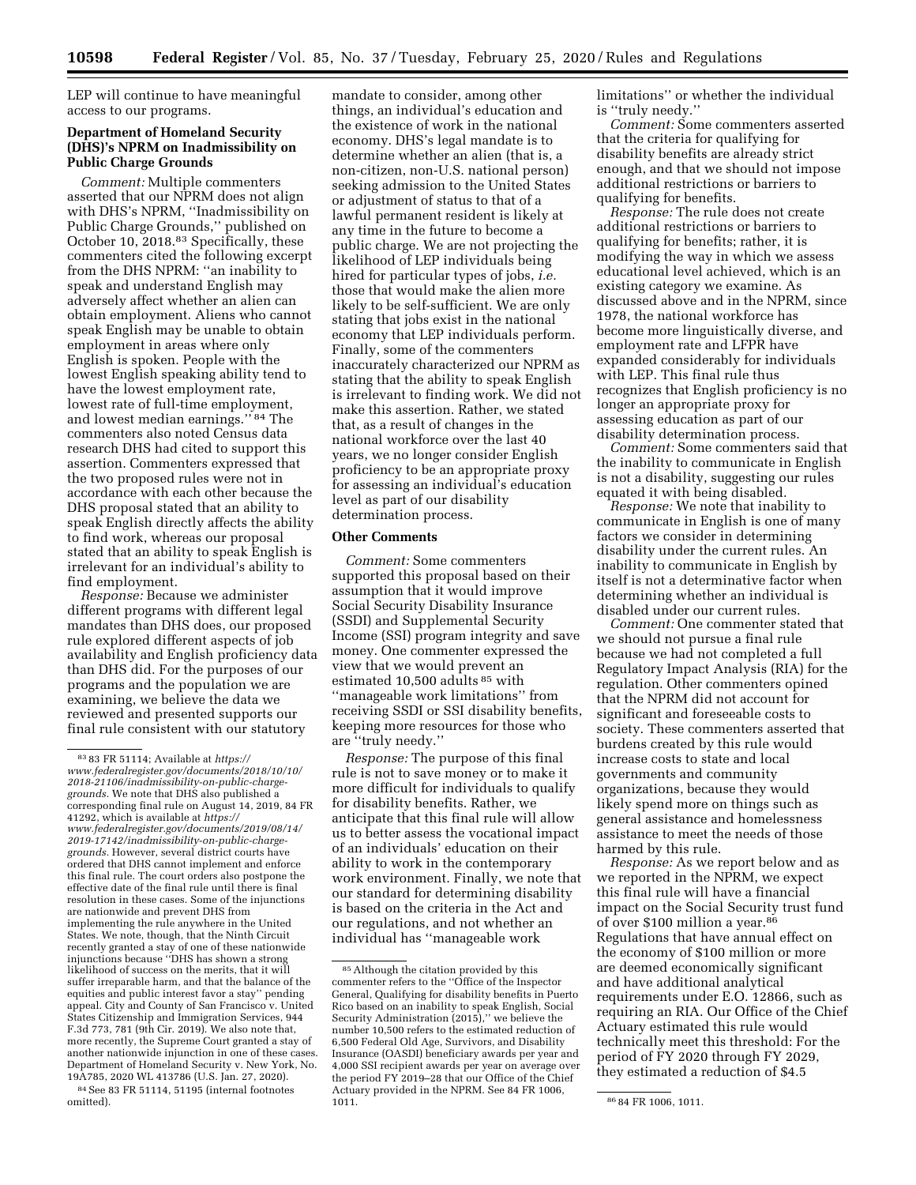LEP will continue to have meaningful access to our programs.

### **Department of Homeland Security (DHS)'s NPRM on Inadmissibility on Public Charge Grounds**

*Comment:* Multiple commenters asserted that our NPRM does not align with DHS's NPRM, ''Inadmissibility on Public Charge Grounds,'' published on October 10, 2018.83 Specifically, these commenters cited the following excerpt from the DHS NPRM: ''an inability to speak and understand English may adversely affect whether an alien can obtain employment. Aliens who cannot speak English may be unable to obtain employment in areas where only English is spoken. People with the lowest English speaking ability tend to have the lowest employment rate, lowest rate of full-time employment, and lowest median earnings.'' 84 The commenters also noted Census data research DHS had cited to support this assertion. Commenters expressed that the two proposed rules were not in accordance with each other because the DHS proposal stated that an ability to speak English directly affects the ability to find work, whereas our proposal stated that an ability to speak English is irrelevant for an individual's ability to find employment.

*Response:* Because we administer different programs with different legal mandates than DHS does, our proposed rule explored different aspects of job availability and English proficiency data than DHS did. For the purposes of our programs and the population we are examining, we believe the data we reviewed and presented supports our final rule consistent with our statutory

84See 83 FR 51114, 51195 (internal footnotes omitted).

mandate to consider, among other things, an individual's education and the existence of work in the national economy. DHS's legal mandate is to determine whether an alien (that is, a non-citizen, non-U.S. national person) seeking admission to the United States or adjustment of status to that of a lawful permanent resident is likely at any time in the future to become a public charge. We are not projecting the likelihood of LEP individuals being hired for particular types of jobs, *i.e.*  those that would make the alien more likely to be self-sufficient. We are only stating that jobs exist in the national economy that LEP individuals perform. Finally, some of the commenters inaccurately characterized our NPRM as stating that the ability to speak English is irrelevant to finding work. We did not make this assertion. Rather, we stated that, as a result of changes in the national workforce over the last 40 years, we no longer consider English proficiency to be an appropriate proxy for assessing an individual's education level as part of our disability determination process.

#### **Other Comments**

*Comment:* Some commenters supported this proposal based on their assumption that it would improve Social Security Disability Insurance (SSDI) and Supplemental Security Income (SSI) program integrity and save money. One commenter expressed the view that we would prevent an estimated 10,500 adults 85 with ''manageable work limitations'' from receiving SSDI or SSI disability benefits, keeping more resources for those who are ''truly needy.''

*Response:* The purpose of this final rule is not to save money or to make it more difficult for individuals to qualify for disability benefits. Rather, we anticipate that this final rule will allow us to better assess the vocational impact of an individuals' education on their ability to work in the contemporary work environment. Finally, we note that our standard for determining disability is based on the criteria in the Act and our regulations, and not whether an individual has ''manageable work

limitations'' or whether the individual is ''truly needy.''

*Comment:* Some commenters asserted that the criteria for qualifying for disability benefits are already strict enough, and that we should not impose additional restrictions or barriers to qualifying for benefits.

*Response:* The rule does not create additional restrictions or barriers to qualifying for benefits; rather, it is modifying the way in which we assess educational level achieved, which is an existing category we examine. As discussed above and in the NPRM, since 1978, the national workforce has become more linguistically diverse, and employment rate and LFPR have expanded considerably for individuals with LEP. This final rule thus recognizes that English proficiency is no longer an appropriate proxy for assessing education as part of our disability determination process.

*Comment:* Some commenters said that the inability to communicate in English is not a disability, suggesting our rules equated it with being disabled.

*Response:* We note that inability to communicate in English is one of many factors we consider in determining disability under the current rules. An inability to communicate in English by itself is not a determinative factor when determining whether an individual is disabled under our current rules.

*Comment:* One commenter stated that we should not pursue a final rule because we had not completed a full Regulatory Impact Analysis (RIA) for the regulation. Other commenters opined that the NPRM did not account for significant and foreseeable costs to society. These commenters asserted that burdens created by this rule would increase costs to state and local governments and community organizations, because they would likely spend more on things such as general assistance and homelessness assistance to meet the needs of those harmed by this rule.

*Response:* As we report below and as we reported in the NPRM, we expect this final rule will have a financial impact on the Social Security trust fund of over \$100 million a year.86 Regulations that have annual effect on the economy of \$100 million or more are deemed economically significant and have additional analytical requirements under E.O. 12866, such as requiring an RIA. Our Office of the Chief Actuary estimated this rule would technically meet this threshold: For the period of FY 2020 through FY 2029, they estimated a reduction of \$4.5

<sup>83</sup> 83 FR 51114; Available at *[https://](https://www.federalregister.gov/documents/2018/10/10/2018-21106/inadmissibility-on-public-charge-grounds) [www.federalregister.gov/documents/2018/10/10/](https://www.federalregister.gov/documents/2018/10/10/2018-21106/inadmissibility-on-public-charge-grounds)  [2018-21106/inadmissibility-on-public-charge](https://www.federalregister.gov/documents/2018/10/10/2018-21106/inadmissibility-on-public-charge-grounds)[grounds.](https://www.federalregister.gov/documents/2018/10/10/2018-21106/inadmissibility-on-public-charge-grounds)* We note that DHS also published a corresponding final rule on August 14, 2019, 84 FR 41292, which is available at *[https://](https://www.federalregister.gov/documents/2019/08/14/2019-17142/inadmissibility-on-public-charge-grounds) [www.federalregister.gov/documents/2019/08/14/](https://www.federalregister.gov/documents/2019/08/14/2019-17142/inadmissibility-on-public-charge-grounds)  [2019-17142/inadmissibility-on-public-charge](https://www.federalregister.gov/documents/2019/08/14/2019-17142/inadmissibility-on-public-charge-grounds)[grounds.](https://www.federalregister.gov/documents/2019/08/14/2019-17142/inadmissibility-on-public-charge-grounds)* However, several district courts have ordered that DHS cannot implement and enforce this final rule. The court orders also postpone the effective date of the final rule until there is final resolution in these cases. Some of the injunctions are nationwide and prevent DHS from implementing the rule anywhere in the United States. We note, though, that the Ninth Circuit recently granted a stay of one of these nationwide injunctions because ''DHS has shown a strong likelihood of success on the merits, that it will suffer irreparable harm, and that the balance of the equities and public interest favor a stay'' pending appeal. City and County of San Francisco v. United States Citizenship and Immigration Services, 944 F.3d 773, 781 (9th Cir. 2019). We also note that, more recently, the Supreme Court granted a stay of another nationwide injunction in one of these cases. Department of Homeland Security v. New York, No. 19A785, 2020 WL 413786 (U.S. Jan. 27, 2020).

<sup>85</sup>Although the citation provided by this commenter refers to the ''Office of the Inspector General, Qualifying for disability benefits in Puerto Rico based on an inability to speak English, Social Security Administration (2015),'' we believe the number 10,500 refers to the estimated reduction of 6,500 Federal Old Age, Survivors, and Disability Insurance (OASDI) beneficiary awards per year and 4,000 SSI recipient awards per year on average over the period FY 2019–28 that our Office of the Chief Actuary provided in the NPRM. See 84 FR 1006,

<sup>86 84</sup> FR 1006, 1011.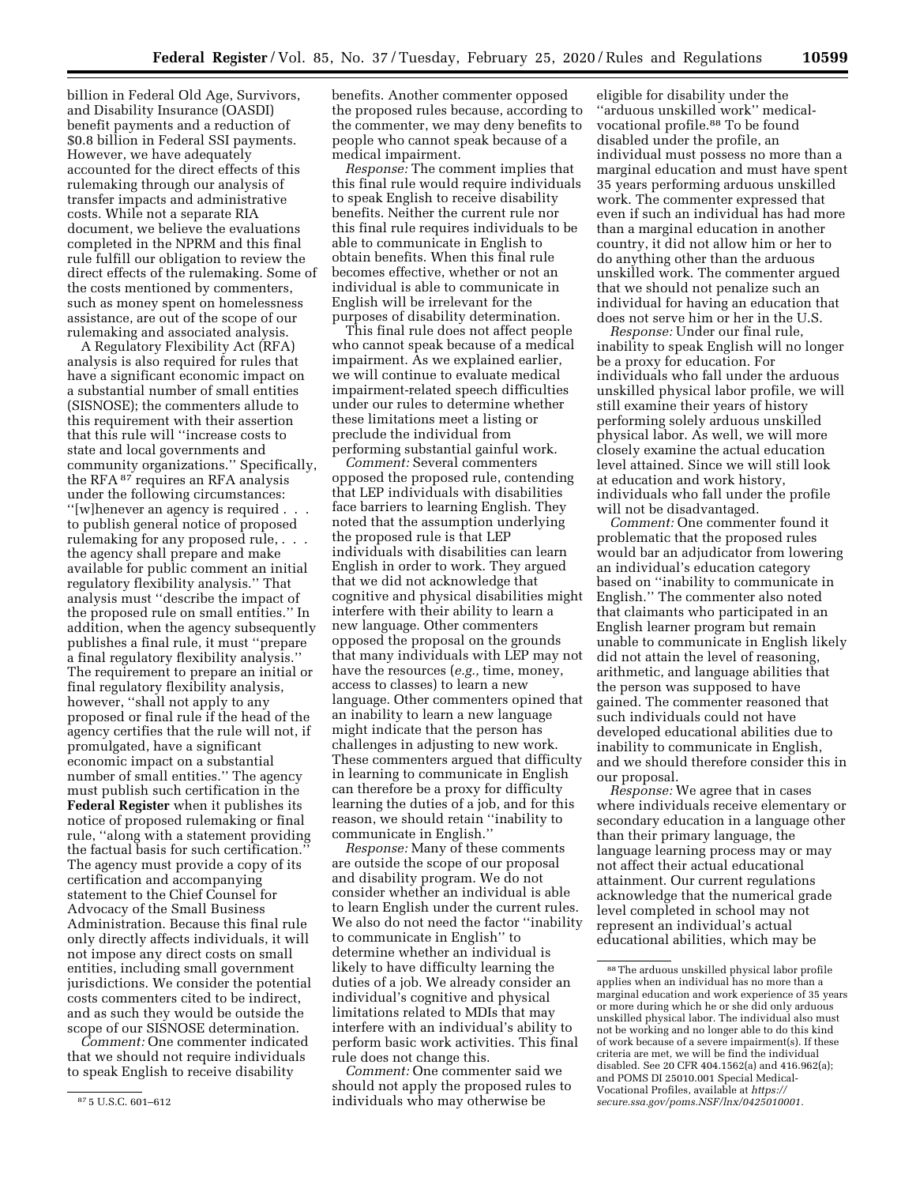billion in Federal Old Age, Survivors, and Disability Insurance (OASDI) benefit payments and a reduction of \$0.8 billion in Federal SSI payments. However, we have adequately accounted for the direct effects of this rulemaking through our analysis of transfer impacts and administrative costs. While not a separate RIA document, we believe the evaluations completed in the NPRM and this final rule fulfill our obligation to review the direct effects of the rulemaking. Some of the costs mentioned by commenters, such as money spent on homelessness assistance, are out of the scope of our rulemaking and associated analysis.

A Regulatory Flexibility Act (RFA) analysis is also required for rules that have a significant economic impact on a substantial number of small entities (SISNOSE); the commenters allude to this requirement with their assertion that this rule will ''increase costs to state and local governments and community organizations.'' Specifically, the RFA 87 requires an RFA analysis under the following circumstances: ''[w]henever an agency is required . . . to publish general notice of proposed rulemaking for any proposed rule, . . . the agency shall prepare and make available for public comment an initial regulatory flexibility analysis.'' That analysis must ''describe the impact of the proposed rule on small entities.'' In addition, when the agency subsequently publishes a final rule, it must ''prepare a final regulatory flexibility analysis.'' The requirement to prepare an initial or final regulatory flexibility analysis, however, ''shall not apply to any proposed or final rule if the head of the agency certifies that the rule will not, if promulgated, have a significant economic impact on a substantial number of small entities.'' The agency must publish such certification in the **Federal Register** when it publishes its notice of proposed rulemaking or final rule, ''along with a statement providing the factual basis for such certification.'' The agency must provide a copy of its certification and accompanying statement to the Chief Counsel for Advocacy of the Small Business Administration. Because this final rule only directly affects individuals, it will not impose any direct costs on small entities, including small government jurisdictions. We consider the potential costs commenters cited to be indirect, and as such they would be outside the scope of our SISNOSE determination.

*Comment:* One commenter indicated that we should not require individuals to speak English to receive disability

benefits. Another commenter opposed the proposed rules because, according to the commenter, we may deny benefits to people who cannot speak because of a medical impairment.

*Response:* The comment implies that this final rule would require individuals to speak English to receive disability benefits. Neither the current rule nor this final rule requires individuals to be able to communicate in English to obtain benefits. When this final rule becomes effective, whether or not an individual is able to communicate in English will be irrelevant for the purposes of disability determination.

This final rule does not affect people who cannot speak because of a medical impairment. As we explained earlier, we will continue to evaluate medical impairment-related speech difficulties under our rules to determine whether these limitations meet a listing or preclude the individual from performing substantial gainful work.

*Comment:* Several commenters opposed the proposed rule, contending that LEP individuals with disabilities face barriers to learning English. They noted that the assumption underlying the proposed rule is that LEP individuals with disabilities can learn English in order to work. They argued that we did not acknowledge that cognitive and physical disabilities might interfere with their ability to learn a new language. Other commenters opposed the proposal on the grounds that many individuals with LEP may not have the resources (*e.g.,* time, money, access to classes) to learn a new language. Other commenters opined that an inability to learn a new language might indicate that the person has challenges in adjusting to new work. These commenters argued that difficulty in learning to communicate in English can therefore be a proxy for difficulty learning the duties of a job, and for this reason, we should retain ''inability to communicate in English.''

*Response:* Many of these comments are outside the scope of our proposal and disability program. We do not consider whether an individual is able to learn English under the current rules. We also do not need the factor ''inability to communicate in English'' to determine whether an individual is likely to have difficulty learning the duties of a job. We already consider an individual's cognitive and physical limitations related to MDIs that may interfere with an individual's ability to perform basic work activities. This final rule does not change this.

*Comment:* One commenter said we should not apply the proposed rules to individuals who may otherwise be

eligible for disability under the ''arduous unskilled work'' medicalvocational profile.88 To be found disabled under the profile, an individual must possess no more than a marginal education and must have spent 35 years performing arduous unskilled work. The commenter expressed that even if such an individual has had more than a marginal education in another country, it did not allow him or her to do anything other than the arduous unskilled work. The commenter argued that we should not penalize such an individual for having an education that does not serve him or her in the U.S.

*Response:* Under our final rule, inability to speak English will no longer be a proxy for education. For individuals who fall under the arduous unskilled physical labor profile, we will still examine their years of history performing solely arduous unskilled physical labor. As well, we will more closely examine the actual education level attained. Since we will still look at education and work history, individuals who fall under the profile will not be disadvantaged.

*Comment:* One commenter found it problematic that the proposed rules would bar an adjudicator from lowering an individual's education category based on ''inability to communicate in English.'' The commenter also noted that claimants who participated in an English learner program but remain unable to communicate in English likely did not attain the level of reasoning, arithmetic, and language abilities that the person was supposed to have gained. The commenter reasoned that such individuals could not have developed educational abilities due to inability to communicate in English, and we should therefore consider this in our proposal.

*Response:* We agree that in cases where individuals receive elementary or secondary education in a language other than their primary language, the language learning process may or may not affect their actual educational attainment. Our current regulations acknowledge that the numerical grade level completed in school may not represent an individual's actual educational abilities, which may be

<sup>87</sup> 5 U.S.C. 601–612

<sup>88</sup>The arduous unskilled physical labor profile applies when an individual has no more than a marginal education and work experience of 35 years or more during which he or she did only arduous unskilled physical labor. The individual also must not be working and no longer able to do this kind of work because of a severe impairment(s). If these criteria are met, we will be find the individual disabled. See 20 CFR 404.1562(a) and 416.962(a); and POMS DI 25010.001 Special Medical-Vocational Profiles, available at *[https://](https://secure.ssa.gov/poms.NSF/lnx/0425010001) [secure.ssa.gov/poms.NSF/lnx/0425010001.](https://secure.ssa.gov/poms.NSF/lnx/0425010001)*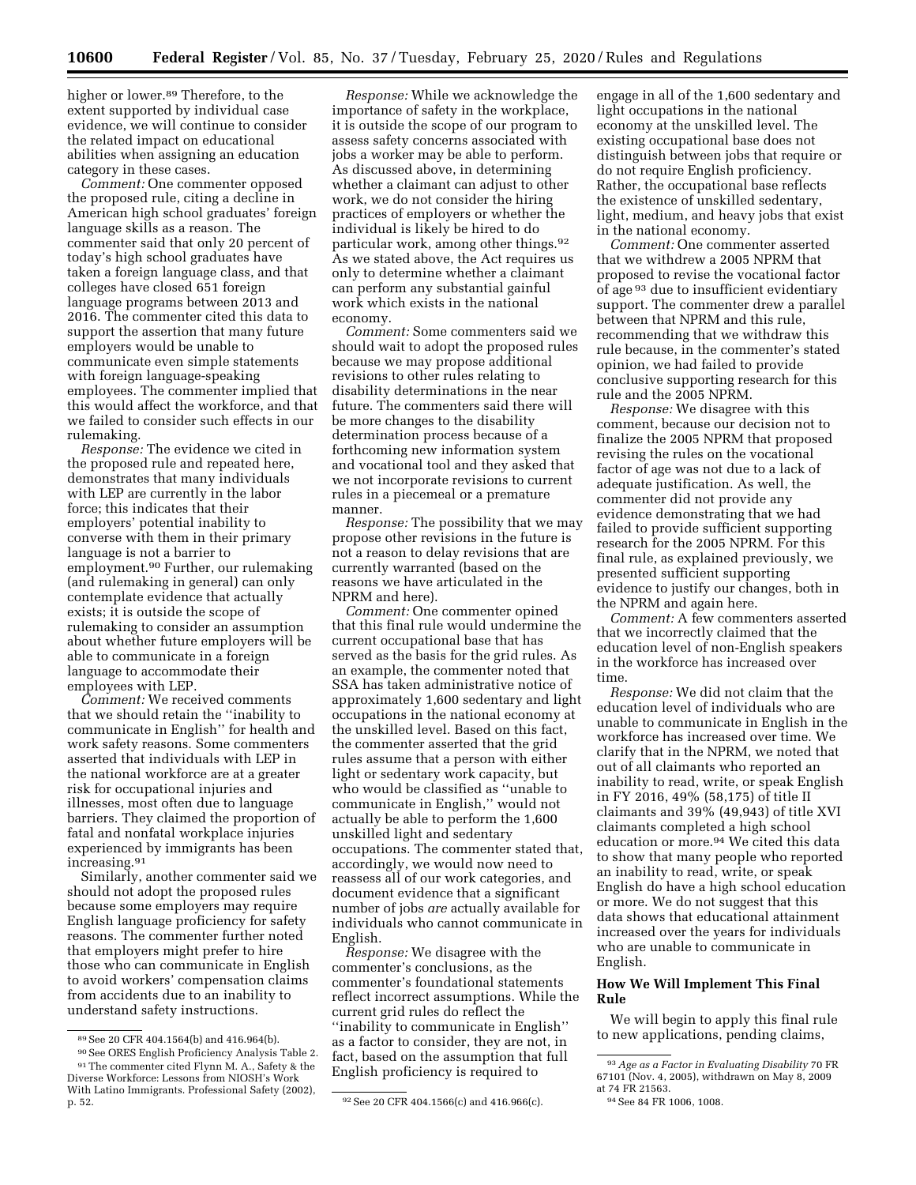higher or lower.<sup>89</sup> Therefore, to the extent supported by individual case evidence, we will continue to consider the related impact on educational abilities when assigning an education category in these cases.

*Comment:* One commenter opposed the proposed rule, citing a decline in American high school graduates' foreign language skills as a reason. The commenter said that only 20 percent of today's high school graduates have taken a foreign language class, and that colleges have closed 651 foreign language programs between 2013 and 2016. The commenter cited this data to support the assertion that many future employers would be unable to communicate even simple statements with foreign language-speaking employees. The commenter implied that this would affect the workforce, and that we failed to consider such effects in our rulemaking.

*Response:* The evidence we cited in the proposed rule and repeated here, demonstrates that many individuals with LEP are currently in the labor force; this indicates that their employers' potential inability to converse with them in their primary language is not a barrier to employment.90 Further, our rulemaking (and rulemaking in general) can only contemplate evidence that actually exists; it is outside the scope of rulemaking to consider an assumption about whether future employers will be able to communicate in a foreign language to accommodate their employees with LEP.

*Comment:* We received comments that we should retain the ''inability to communicate in English'' for health and work safety reasons. Some commenters asserted that individuals with LEP in the national workforce are at a greater risk for occupational injuries and illnesses, most often due to language barriers. They claimed the proportion of fatal and nonfatal workplace injuries experienced by immigrants has been increasing.91

Similarly, another commenter said we should not adopt the proposed rules because some employers may require English language proficiency for safety reasons. The commenter further noted that employers might prefer to hire those who can communicate in English to avoid workers' compensation claims from accidents due to an inability to understand safety instructions.

90See ORES English Proficiency Analysis Table 2. 91The commenter cited Flynn M. A., Safety & the Diverse Workforce: Lessons from NIOSH's Work With Latino Immigrants. Professional Safety (2002),

*Response:* While we acknowledge the importance of safety in the workplace, it is outside the scope of our program to assess safety concerns associated with jobs a worker may be able to perform. As discussed above, in determining whether a claimant can adjust to other work, we do not consider the hiring practices of employers or whether the individual is likely be hired to do particular work, among other things.92 As we stated above, the Act requires us only to determine whether a claimant can perform any substantial gainful work which exists in the national economy.

*Comment:* Some commenters said we should wait to adopt the proposed rules because we may propose additional revisions to other rules relating to disability determinations in the near future. The commenters said there will be more changes to the disability determination process because of a forthcoming new information system and vocational tool and they asked that we not incorporate revisions to current rules in a piecemeal or a premature manner.

*Response:* The possibility that we may propose other revisions in the future is not a reason to delay revisions that are currently warranted (based on the reasons we have articulated in the NPRM and here).

*Comment:* One commenter opined that this final rule would undermine the current occupational base that has served as the basis for the grid rules. As an example, the commenter noted that SSA has taken administrative notice of approximately 1,600 sedentary and light occupations in the national economy at the unskilled level. Based on this fact, the commenter asserted that the grid rules assume that a person with either light or sedentary work capacity, but who would be classified as ''unable to communicate in English,'' would not actually be able to perform the 1,600 unskilled light and sedentary occupations. The commenter stated that, accordingly, we would now need to reassess all of our work categories, and document evidence that a significant number of jobs *are* actually available for individuals who cannot communicate in English.

*Response:* We disagree with the commenter's conclusions, as the commenter's foundational statements reflect incorrect assumptions. While the current grid rules do reflect the ''inability to communicate in English'' as a factor to consider, they are not, in fact, based on the assumption that full English proficiency is required to

engage in all of the 1,600 sedentary and light occupations in the national economy at the unskilled level. The existing occupational base does not distinguish between jobs that require or do not require English proficiency. Rather, the occupational base reflects the existence of unskilled sedentary, light, medium, and heavy jobs that exist in the national economy.

*Comment:* One commenter asserted that we withdrew a 2005 NPRM that proposed to revise the vocational factor of age 93 due to insufficient evidentiary support. The commenter drew a parallel between that NPRM and this rule, recommending that we withdraw this rule because, in the commenter's stated opinion, we had failed to provide conclusive supporting research for this rule and the 2005 NPRM.

*Response:* We disagree with this comment, because our decision not to finalize the 2005 NPRM that proposed revising the rules on the vocational factor of age was not due to a lack of adequate justification. As well, the commenter did not provide any evidence demonstrating that we had failed to provide sufficient supporting research for the 2005 NPRM. For this final rule, as explained previously, we presented sufficient supporting evidence to justify our changes, both in the NPRM and again here.

*Comment:* A few commenters asserted that we incorrectly claimed that the education level of non-English speakers in the workforce has increased over time.

*Response:* We did not claim that the education level of individuals who are unable to communicate in English in the workforce has increased over time. We clarify that in the NPRM, we noted that out of all claimants who reported an inability to read, write, or speak English in FY 2016, 49% (58,175) of title II claimants and 39% (49,943) of title XVI claimants completed a high school education or more.94 We cited this data to show that many people who reported an inability to read, write, or speak English do have a high school education or more. We do not suggest that this data shows that educational attainment increased over the years for individuals who are unable to communicate in English.

### **How We Will Implement This Final Rule**

We will begin to apply this final rule to new applications, pending claims,

<sup>89</sup>See 20 CFR 404.1564(b) and 416.964(b).

<sup>&</sup>lt;sup>92</sup> See 20 CFR 404.1566(c) and 416.966(c).

<sup>93</sup>*Age as a Factor in Evaluating Disability* 70 FR 67101 (Nov. 4, 2005), withdrawn on May 8, 2009 at 74 FR 21563.

<sup>94</sup>See 84 FR 1006, 1008.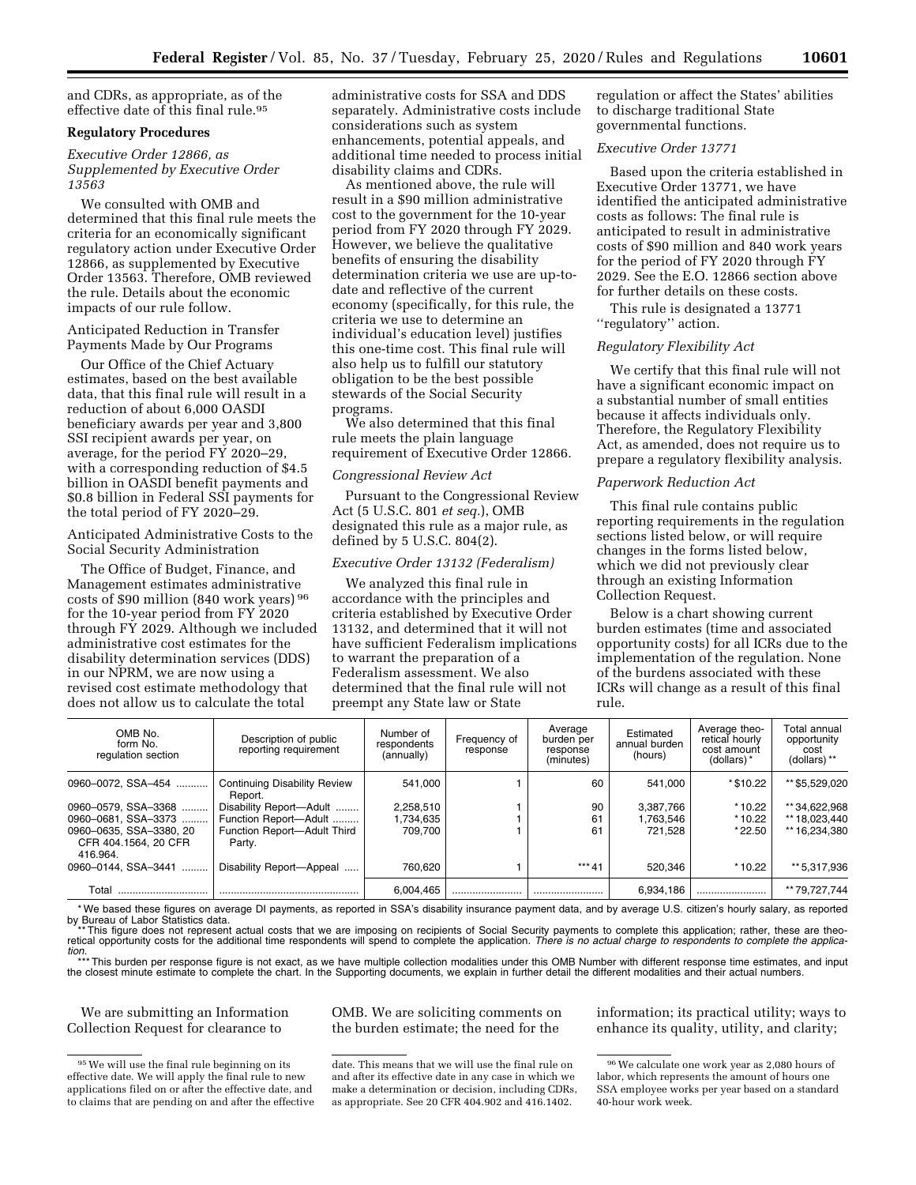and CDRs, as appropriate, as of the effective date of this final rule.95

## **Regulatory Procedures**

*Executive Order 12866, as Supplemented by Executive Order 13563* 

We consulted with OMB and determined that this final rule meets the criteria for an economically significant regulatory action under Executive Order 12866, as supplemented by Executive Order 13563. Therefore, OMB reviewed the rule. Details about the economic impacts of our rule follow.

Anticipated Reduction in Transfer Payments Made by Our Programs

Our Office of the Chief Actuary estimates, based on the best available data, that this final rule will result in a reduction of about 6,000 OASDI beneficiary awards per year and 3,800 SSI recipient awards per year, on average, for the period FY 2020–29, with a corresponding reduction of \$4.5 billion in OASDI benefit payments and \$0.8 billion in Federal SSI payments for the total period of FY 2020–29.

Anticipated Administrative Costs to the Social Security Administration

The Office of Budget, Finance, and Management estimates administrative costs of \$90 million (840 work years) 96 for the 10-year period from FY 2020 through FY 2029. Although we included administrative cost estimates for the disability determination services (DDS) in our NPRM, we are now using a revised cost estimate methodology that does not allow us to calculate the total

administrative costs for SSA and DDS separately. Administrative costs include considerations such as system enhancements, potential appeals, and additional time needed to process initial disability claims and CDRs.

As mentioned above, the rule will result in a \$90 million administrative cost to the government for the 10-year period from FY 2020 through FY 2029. However, we believe the qualitative benefits of ensuring the disability determination criteria we use are up-todate and reflective of the current economy (specifically, for this rule, the criteria we use to determine an individual's education level) justifies this one-time cost. This final rule will also help us to fulfill our statutory obligation to be the best possible stewards of the Social Security programs.

We also determined that this final rule meets the plain language requirement of Executive Order 12866.

#### *Congressional Review Act*

Pursuant to the Congressional Review Act (5 U.S.C. 801 *et seq.*), OMB designated this rule as a major rule, as defined by 5 U.S.C. 804(2).

#### *Executive Order 13132 (Federalism)*

We analyzed this final rule in accordance with the principles and criteria established by Executive Order 13132, and determined that it will not have sufficient Federalism implications to warrant the preparation of a Federalism assessment. We also determined that the final rule will not preempt any State law or State

regulation or affect the States' abilities to discharge traditional State governmental functions.

#### *Executive Order 13771*

Based upon the criteria established in Executive Order 13771, we have identified the anticipated administrative costs as follows: The final rule is anticipated to result in administrative costs of \$90 million and 840 work years for the period of FY 2020 through FY 2029. See the E.O. 12866 section above for further details on these costs.

This rule is designated a 13771 ''regulatory'' action.

#### *Regulatory Flexibility Act*

We certify that this final rule will not have a significant economic impact on a substantial number of small entities because it affects individuals only. Therefore, the Regulatory Flexibility Act, as amended, does not require us to prepare a regulatory flexibility analysis.

#### *Paperwork Reduction Act*

This final rule contains public reporting requirements in the regulation sections listed below, or will require changes in the forms listed below, which we did not previously clear through an existing Information Collection Request.

Below is a chart showing current burden estimates (time and associated opportunity costs) for all ICRs due to the implementation of the regulation. None of the burdens associated with these ICRs will change as a result of this final rule.

| OMB No.<br>form No.<br>regulation section                   | Description of public<br>reporting requirement | Number of<br>respondents<br>(annually) | Frequency of<br>response | Average<br>burden per<br>response<br>(minutes) | Estimated<br>annual burden<br>(hours) | Average theo-<br>retical hourly<br>cost amount<br>(dollars)* | Total annual<br>opportunity<br>cost<br>(dollars) ** |
|-------------------------------------------------------------|------------------------------------------------|----------------------------------------|--------------------------|------------------------------------------------|---------------------------------------|--------------------------------------------------------------|-----------------------------------------------------|
| 0960-0072. SSA-454                                          | <b>Continuing Disability Review</b><br>Report. | 541.000                                |                          | 60                                             | 541.000                               | *\$10.22                                                     | ** \$5,529,020                                      |
| 0960-0579. SSA-3368                                         | Disability Report-Adult                        | 2,258,510                              |                          | 90                                             | 3.387.766                             | $*10.22$                                                     | ** 34.622.968                                       |
| 0960-0681, SSA-3373                                         | Function Report-Adult                          | 1,734,635                              |                          | 61                                             | 1,763,546                             | * 10.22                                                      | ** 18,023,440                                       |
| 0960-0635, SSA-3380, 20<br>CFR 404.1564, 20 CFR<br>416.964. | Function Report-Adult Third<br>Party.          | 709.700                                |                          | 61                                             | 721.528                               | * 22.50                                                      | ** 16.234.380                                       |
| 0960-0144. SSA-3441                                         | Disability Report-Appeal                       | 760.620                                |                          | *** 41                                         | 520.346                               | $*10.22$                                                     | ** 5,317,936                                        |
| Total                                                       |                                                | 6.004.465                              |                          |                                                | 6.934.186                             |                                                              | ** 79.727.744                                       |

\*We based these figures on average DI payments, as reported in SSA's disability insurance payment data, and by average U.S. citizen's hourly salary, as reported<br>by Bureau of Labor Statistics data.<br>\*\*\*This figure does not r

retical opportunity costs for the additional time respondents will spend to complete the application. *There is no actual charge to respondents to complete the applica-*

*tion.*  \*\*\* This burden per response figure is not exact, as we have multiple collection modalities under this OMB Number with different response time estimates, and input the closest minute estimate to complete the chart. In the Supporting documents, we explain in further detail the different modalities and their actual numbers.

We are submitting an Information Collection Request for clearance to

OMB. We are soliciting comments on the burden estimate; the need for the

information; its practical utility; ways to enhance its quality, utility, and clarity;

 $\rm ^{95}$  We will use the final rule beginning on its effective date. We will apply the final rule to new applications filed on or after the effective date, and to claims that are pending on and after the effective

date. This means that we will use the final rule on and after its effective date in any case in which we make a determination or decision, including CDRs, as appropriate. See 20 CFR 404.902 and 416.1402.

<sup>96</sup>We calculate one work year as 2,080 hours of labor, which represents the amount of hours one SSA employee works per year based on a standard 40-hour work week.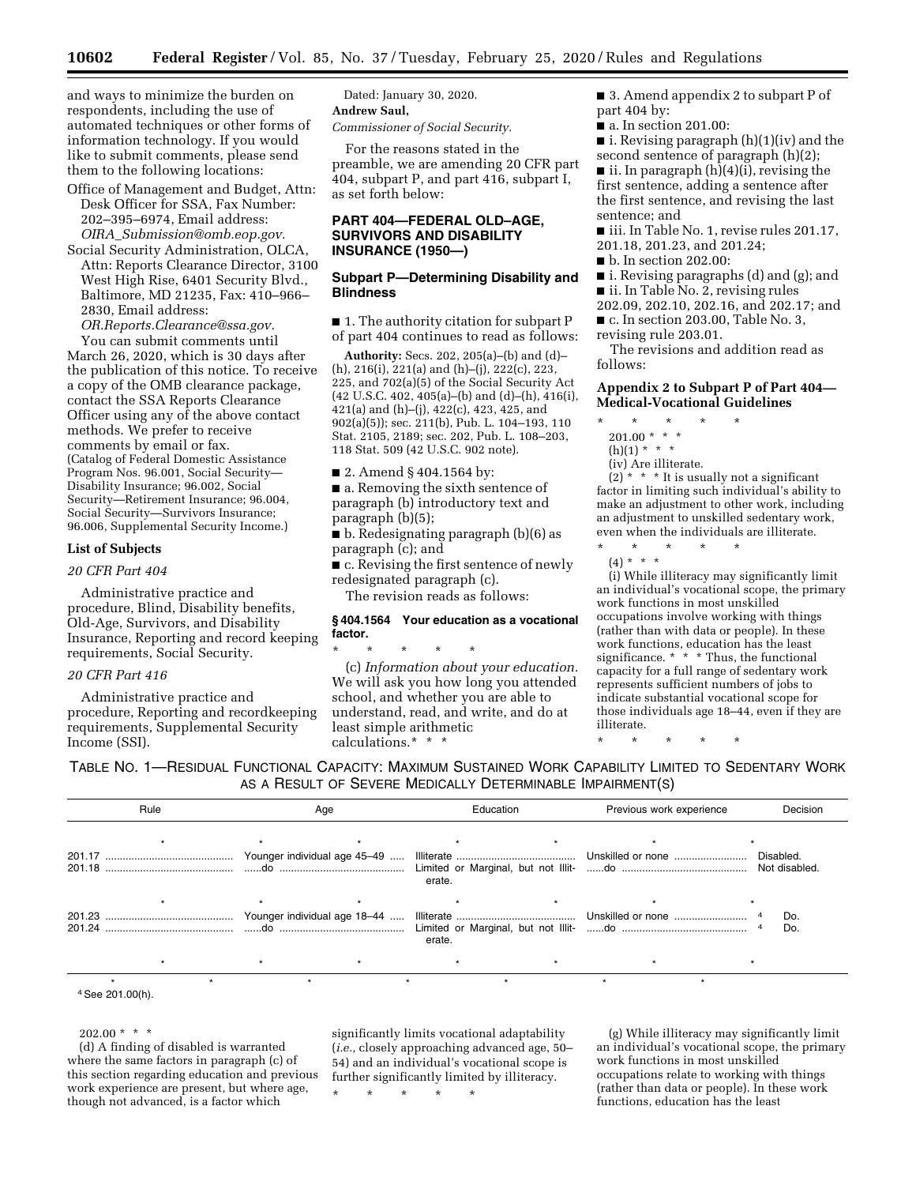and ways to minimize the burden on respondents, including the use of automated techniques or other forms of information technology. If you would like to submit comments, please send them to the following locations:

- Office of Management and Budget, Attn: Desk Officer for SSA, Fax Number: 202–395–6974, Email address: *OIRA*\_*[Submission@omb.eop.gov.](mailto:OIRA_Submission@omb.eop.gov)*
- Social Security Administration, OLCA, Attn: Reports Clearance Director, 3100 West High Rise, 6401 Security Blvd., Baltimore, MD 21235, Fax: 410–966– 2830, Email address:

*[OR.Reports.Clearance@ssa.gov.](mailto:OR.Reports.Clearance@ssa.gov)*  You can submit comments until

March 26, 2020, which is 30 days after the publication of this notice. To receive a copy of the OMB clearance package, contact the SSA Reports Clearance Officer using any of the above contact methods. We prefer to receive comments by email or fax. (Catalog of Federal Domestic Assistance Program Nos. 96.001, Social Security— Disability Insurance; 96.002, Social Security—Retirement Insurance; 96.004, Social Security—Survivors Insurance; 96.006, Supplemental Security Income.)

#### **List of Subjects**

#### *20 CFR Part 404*

Administrative practice and procedure, Blind, Disability benefits, Old-Age, Survivors, and Disability Insurance, Reporting and record keeping requirements, Social Security.

### *20 CFR Part 416*

Administrative practice and procedure, Reporting and recordkeeping requirements, Supplemental Security Income (SSI).

Dated: January 30, 2020. **Andrew Saul,**  *Commissioner of Social Security.* 

For the reasons stated in the preamble, we are amending 20 CFR part 404, subpart P, and part 416, subpart I, as set forth below:

### **PART 404—FEDERAL OLD–AGE, SURVIVORS AND DISABILITY INSURANCE (1950—)**

### **Subpart P—Determining Disability and Blindness**

■ 1. The authority citation for subpart P of part 404 continues to read as follows:

**Authority:** Secs. 202, 205(a)–(b) and (d)– (h), 216(i), 221(a) and (h)–(j), 222(c), 223, 225, and 702(a)(5) of the Social Security Act (42 U.S.C. 402, 405(a)–(b) and (d)–(h), 416(i), 421(a) and (h)–(j), 422(c), 423, 425, and 902(a)(5)); sec. 211(b), Pub. L. 104–193, 110 Stat. 2105, 2189; sec. 202, Pub. L. 108–203, 118 Stat. 509 (42 U.S.C. 902 note).

■ 2. Amend § 404.1564 by:

■ a. Removing the sixth sentence of paragraph (b) introductory text and paragraph (b)(5);

■ b. Redesignating paragraph (b)(6) as paragraph (c); and

■ c. Revising the first sentence of newly redesignated paragraph (c).

The revision reads as follows:

### **§ 404.1564 Your education as a vocational factor.**

\* \* \* \* \* (c) *Information about your education.*  We will ask you how long you attended school, and whether you are able to understand, read, and write, and do at least simple arithmetic calculations.\* \* \*

■ 3. Amend appendix 2 to subpart P of part 404 by:

■ a. In section 201.00:

■ i. Revising paragraph (h)(1)(iv) and the second sentence of paragraph (h)(2);

ii. In paragraph  $(h)(4)(i)$ , revising the first sentence, adding a sentence after the first sentence, and revising the last sentence; and

- iii. In Table No. 1, revise rules 201.17, 201.18, 201.23, and 201.24;
- 
- b. In section 202.00:

■ i. Revising paragraphs (d) and (g); and

■ ii. In Table No. 2, revising rules 202.09, 202.10, 202.16, and 202.17; and

■ c. In section 203.00, Table No. 3,

revising rule 203.01.

The revisions and addition read as follows:

## **Appendix 2 to Subpart P of Part 404— Medical-Vocational Guidelines**

- \* \* \* \* \*
- $201.00$  \* \* \*
- $(h)(1) * * * *$
- (iv) Are illiterate.

 $(2)$  \* \* \* It is usually not a significant factor in limiting such individual's ability to make an adjustment to other work, including an adjustment to unskilled sedentary work, even when the individuals are illiterate.

\* \* \* \* \* (4) \* \* \*

(i) While illiteracy may significantly limit an individual's vocational scope, the primary work functions in most unskilled occupations involve working with things (rather than with data or people). In these work functions, education has the least significance. \* \* \* Thus, the functional capacity for a full range of sedentary work represents sufficient numbers of jobs to indicate substantial vocational scope for those individuals age 18–44, even if they are illiterate.

TABLE NO. 1—RESIDUAL FUNCTIONAL CAPACITY: MAXIMUM SUSTAINED WORK CAPABILITY LIMITED TO SEDENTARY WORK AS A RESULT OF SEVERE MEDICALLY DETERMINABLE IMPAIRMENT(S)

| Rule                        | Age |  | Education |  | Previous work experience |  | Decision   |  |
|-----------------------------|-----|--|-----------|--|--------------------------|--|------------|--|
|                             |     |  | erate.    |  |                          |  | Disabled.  |  |
|                             |     |  |           |  |                          |  |            |  |
|                             |     |  | erate.    |  |                          |  | Do.<br>Do. |  |
|                             |     |  |           |  |                          |  |            |  |
| <sup>4</sup> See 201.00(h). |     |  |           |  |                          |  |            |  |

## $202.00 * * * *$

(d) A finding of disabled is warranted where the same factors in paragraph (c) of this section regarding education and previous work experience are present, but where age, though not advanced, is a factor which

significantly limits vocational adaptability (*i.e.,* closely approaching advanced age, 50– 54) and an individual's vocational scope is further significantly limited by illiteracy.

\* \* \* \* \*

(g) While illiteracy may significantly limit an individual's vocational scope, the primary work functions in most unskilled occupations relate to working with things (rather than data or people). In these work functions, education has the least

<sup>\* \* \* \* \*</sup>